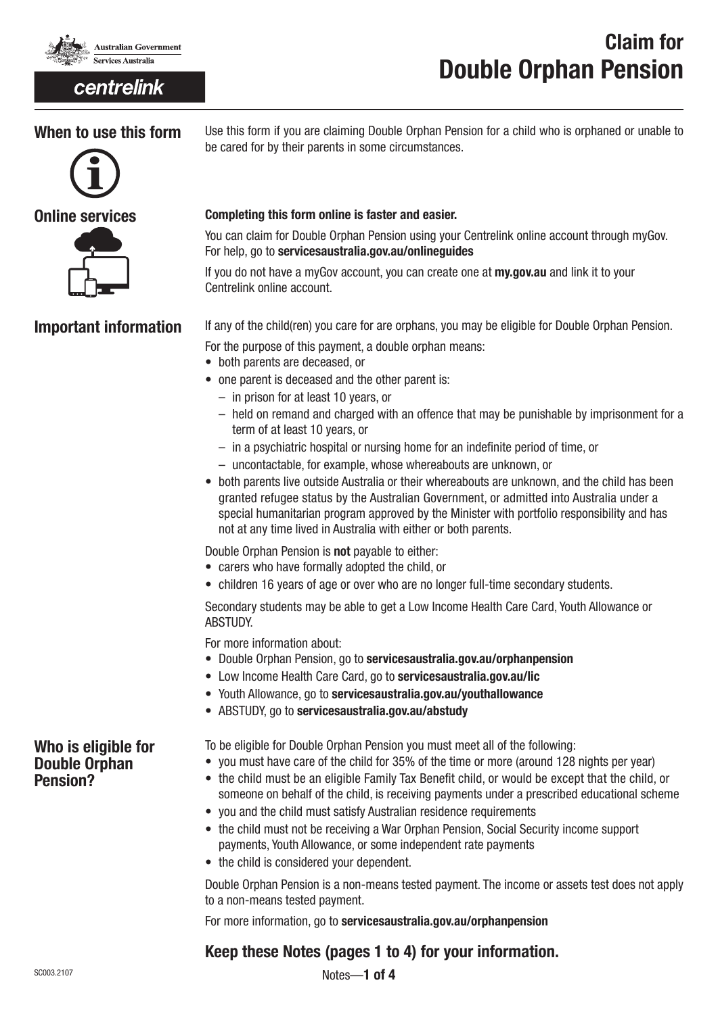

## centrelink

# Claim for Double Orphan Pension

## When to use this form





Use this form if you are claiming Double Orphan Pension for a child who is orphaned or unable to be cared for by their parents in some circumstances.

## Completing this form online is faster and easier.

You can claim for Double Orphan Pension using your Centrelink online account through myGov. For help, go to servicesaustralia.gov.au/onlinequides

If you do not have a myGov account, you can create one at **my.gov.au** and link it to your Centrelink online account.

Important information If any of the child(ren) you care for are orphans, you may be eligible for Double Orphan Pension.

For the purpose of this payment, a double orphan means:

- both parents are deceased, or
- one parent is deceased and the other parent is:
	- in prison for at least 10 years, or
	- held on remand and charged with an offence that may be punishable by imprisonment for a term of at least 10 years, or
	- in a psychiatric hospital or nursing home for an indefinite period of time, or
	- uncontactable, for example, whose whereabouts are unknown, or
- both parents live outside Australia or their whereabouts are unknown, and the child has been granted refugee status by the Australian Government, or admitted into Australia under a special humanitarian program approved by the Minister with portfolio responsibility and has not at any time lived in Australia with either or both parents.

Double Orphan Pension is not payable to either:

- carers who have formally adopted the child, or
- children 16 years of age or over who are no longer full-time secondary students.

Secondary students may be able to get a Low Income Health Care Card, Youth Allowance or ABSTUDY.

For more information about:

- Double Orphan Pension, go to servicesaustralia.gov.au/orphanpension
- Low Income Health Care Card, go to servicesaustralia.gov.au/lic
- Youth Allowance, go to servicesaustralia.gov.au/youthallowance
- ABSTUDY, go to servicesaustralia.gov.au/abstudy

Who is eligible for Double Orphan Pension?

To be eligible for Double Orphan Pension you must meet all of the following:

- you must have care of the child for 35% of the time or more (around 128 nights per year)
	- the child must be an eligible Family Tax Benefit child, or would be except that the child, or someone on behalf of the child, is receiving payments under a prescribed educational scheme
	- you and the child must satisfy Australian residence requirements
	- the child must not be receiving a War Orphan Pension, Social Security income support payments, Youth Allowance, or some independent rate payments
	- the child is considered your dependent.

Double Orphan Pension is a non-means tested payment. The income or assets test does not apply to a non-means tested payment.

For more information, go to servicesaustralia.gov.au/orphanpension

## Keep these Notes (pages 1 to 4) for your information.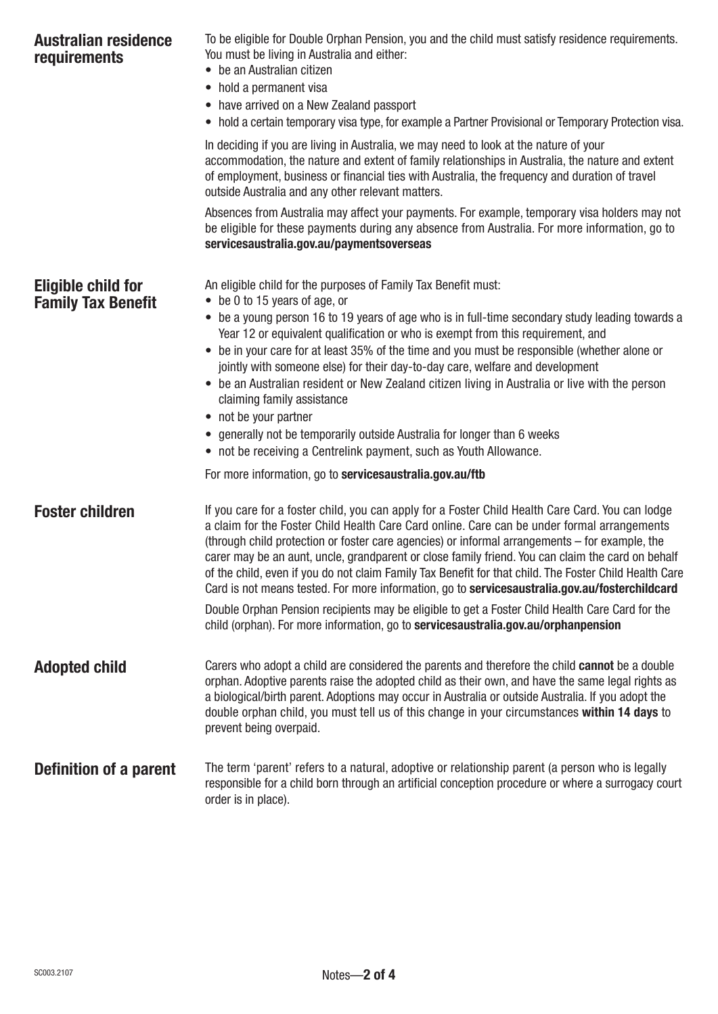| <b>Australian residence</b><br>requirements            | To be eligible for Double Orphan Pension, you and the child must satisfy residence requirements.<br>You must be living in Australia and either:<br>• be an Australian citizen<br>• hold a permanent visa<br>• have arrived on a New Zealand passport<br>• hold a certain temporary visa type, for example a Partner Provisional or Temporary Protection visa.                                                                                                                                                                                                                                                                                                                                                                                                                                                                                        |
|--------------------------------------------------------|------------------------------------------------------------------------------------------------------------------------------------------------------------------------------------------------------------------------------------------------------------------------------------------------------------------------------------------------------------------------------------------------------------------------------------------------------------------------------------------------------------------------------------------------------------------------------------------------------------------------------------------------------------------------------------------------------------------------------------------------------------------------------------------------------------------------------------------------------|
|                                                        | In deciding if you are living in Australia, we may need to look at the nature of your<br>accommodation, the nature and extent of family relationships in Australia, the nature and extent<br>of employment, business or financial ties with Australia, the frequency and duration of travel<br>outside Australia and any other relevant matters.                                                                                                                                                                                                                                                                                                                                                                                                                                                                                                     |
|                                                        | Absences from Australia may affect your payments. For example, temporary visa holders may not<br>be eligible for these payments during any absence from Australia. For more information, go to<br>servicesaustralia.gov.au/paymentsoverseas                                                                                                                                                                                                                                                                                                                                                                                                                                                                                                                                                                                                          |
| <b>Eligible child for</b><br><b>Family Tax Benefit</b> | An eligible child for the purposes of Family Tax Benefit must:<br>$\bullet$ be 0 to 15 years of age, or<br>• be a young person 16 to 19 years of age who is in full-time secondary study leading towards a<br>Year 12 or equivalent qualification or who is exempt from this requirement, and<br>• be in your care for at least 35% of the time and you must be responsible (whether alone or<br>jointly with someone else) for their day-to-day care, welfare and development<br>• be an Australian resident or New Zealand citizen living in Australia or live with the person<br>claiming family assistance<br>• not be your partner<br>• generally not be temporarily outside Australia for longer than 6 weeks<br>• not be receiving a Centrelink payment, such as Youth Allowance.<br>For more information, go to servicesaustralia.gov.au/ftb |
| <b>Foster children</b>                                 | If you care for a foster child, you can apply for a Foster Child Health Care Card. You can lodge<br>a claim for the Foster Child Health Care Card online. Care can be under formal arrangements<br>(through child protection or foster care agencies) or informal arrangements – for example, the<br>carer may be an aunt, uncle, grandparent or close family friend. You can claim the card on behalf<br>of the child, even if you do not claim Family Tax Benefit for that child. The Foster Child Health Care<br>Card is not means tested. For more information, go to servicesaustralia.gov.au/fosterchildcard<br>Double Orphan Pension recipients may be eligible to get a Foster Child Health Care Card for the<br>child (orphan). For more information, go to servicesaustralia.gov.au/orphanpension                                          |
| <b>Adopted child</b>                                   | Carers who adopt a child are considered the parents and therefore the child cannot be a double<br>orphan. Adoptive parents raise the adopted child as their own, and have the same legal rights as<br>a biological/birth parent. Adoptions may occur in Australia or outside Australia. If you adopt the<br>double orphan child, you must tell us of this change in your circumstances within 14 days to<br>prevent being overpaid.                                                                                                                                                                                                                                                                                                                                                                                                                  |
| Definition of a parent                                 | The term 'parent' refers to a natural, adoptive or relationship parent (a person who is legally<br>responsible for a child born through an artificial conception procedure or where a surrogacy court<br>order is in place).                                                                                                                                                                                                                                                                                                                                                                                                                                                                                                                                                                                                                         |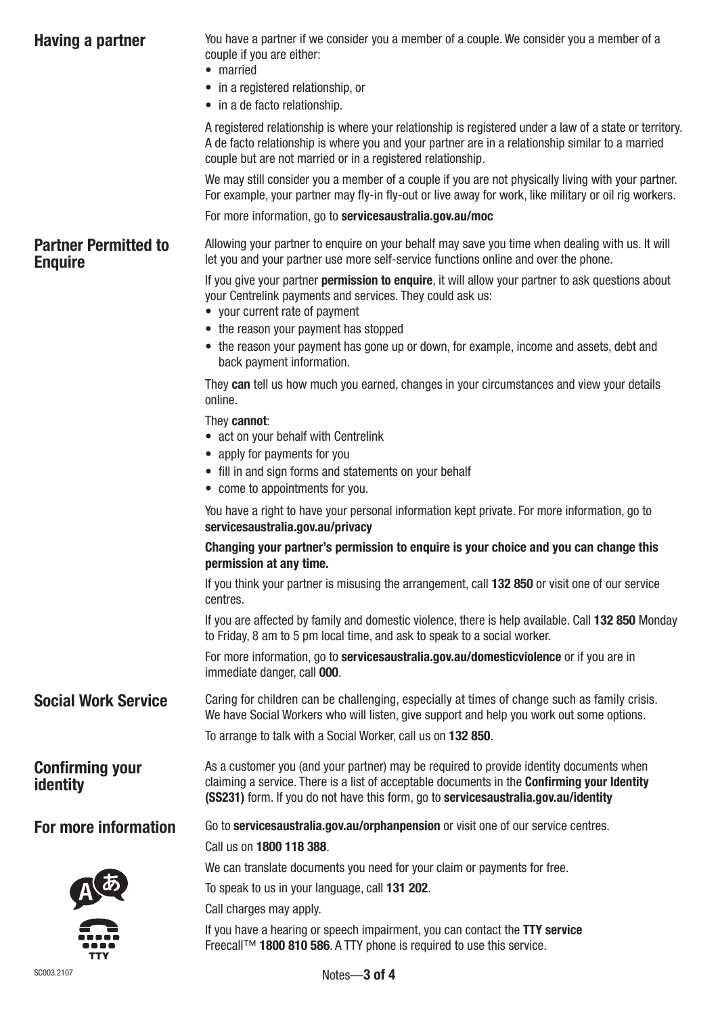<span id="page-2-0"></span>

| You have a partner if we consider you a member of a couple. We consider you a member of a<br>couple if you are either:<br>• married<br>• in a registered relationship, or<br>• in a de facto relationship.                                                                           |  |  |  |  |
|--------------------------------------------------------------------------------------------------------------------------------------------------------------------------------------------------------------------------------------------------------------------------------------|--|--|--|--|
| A registered relationship is where your relationship is registered under a law of a state or territory.<br>A de facto relationship is where you and your partner are in a relationship similar to a married<br>couple but are not married or in a registered relationship.           |  |  |  |  |
| We may still consider you a member of a couple if you are not physically living with your partner.<br>For example, your partner may fly-in fly-out or live away for work, like military or oil rig workers.                                                                          |  |  |  |  |
| For more information, go to servicesaustralia.gov.au/moc                                                                                                                                                                                                                             |  |  |  |  |
| Allowing your partner to enquire on your behalf may save you time when dealing with us. It will<br>let you and your partner use more self-service functions online and over the phone.                                                                                               |  |  |  |  |
| If you give your partner <b>permission to enquire</b> , it will allow your partner to ask questions about<br>your Centrelink payments and services. They could ask us:<br>• your current rate of payment                                                                             |  |  |  |  |
| • the reason your payment has stopped                                                                                                                                                                                                                                                |  |  |  |  |
| • the reason your payment has gone up or down, for example, income and assets, debt and<br>back payment information.                                                                                                                                                                 |  |  |  |  |
| They can tell us how much you earned, changes in your circumstances and view your details<br>online.                                                                                                                                                                                 |  |  |  |  |
| They cannot:<br>• act on your behalf with Centrelink                                                                                                                                                                                                                                 |  |  |  |  |
| • apply for payments for you                                                                                                                                                                                                                                                         |  |  |  |  |
| • fill in and sign forms and statements on your behalf                                                                                                                                                                                                                               |  |  |  |  |
| • come to appointments for you.                                                                                                                                                                                                                                                      |  |  |  |  |
| You have a right to have your personal information kept private. For more information, go to<br>servicesaustralia.gov.au/privacy                                                                                                                                                     |  |  |  |  |
| Changing your partner's permission to enquire is your choice and you can change this<br>permission at any time.                                                                                                                                                                      |  |  |  |  |
| If you think your partner is misusing the arrangement, call 132 850 or visit one of our service<br>centres.                                                                                                                                                                          |  |  |  |  |
| If you are affected by family and domestic violence, there is help available. Call 132 850 Monday<br>to Friday, 8 am to 5 pm local time, and ask to speak to a social worker.                                                                                                        |  |  |  |  |
| For more information, go to servicesaustralia.gov.au/domesticviolence or if you are in<br>immediate danger, call 000.                                                                                                                                                                |  |  |  |  |
| Caring for children can be challenging, especially at times of change such as family crisis.<br>We have Social Workers who will listen, give support and help you work out some options.                                                                                             |  |  |  |  |
| To arrange to talk with a Social Worker, call us on 132 850.                                                                                                                                                                                                                         |  |  |  |  |
| As a customer you (and your partner) may be required to provide identity documents when<br>claiming a service. There is a list of acceptable documents in the <b>Confirming your Identity</b><br>(SS231) form. If you do not have this form, go to servicesaustralia.gov.au/identity |  |  |  |  |
| Go to servicesaustralia.gov.au/orphanpension or visit one of our service centres.                                                                                                                                                                                                    |  |  |  |  |
| Call us on 1800 118 388.                                                                                                                                                                                                                                                             |  |  |  |  |
| We can translate documents you need for your claim or payments for free.                                                                                                                                                                                                             |  |  |  |  |
| To speak to us in your language, call 131 202.                                                                                                                                                                                                                                       |  |  |  |  |
| Call charges may apply.                                                                                                                                                                                                                                                              |  |  |  |  |
| If you have a hearing or speech impairment, you can contact the TTY service<br>Freecall™ 1800 810 586. A TTY phone is required to use this service.                                                                                                                                  |  |  |  |  |
|                                                                                                                                                                                                                                                                                      |  |  |  |  |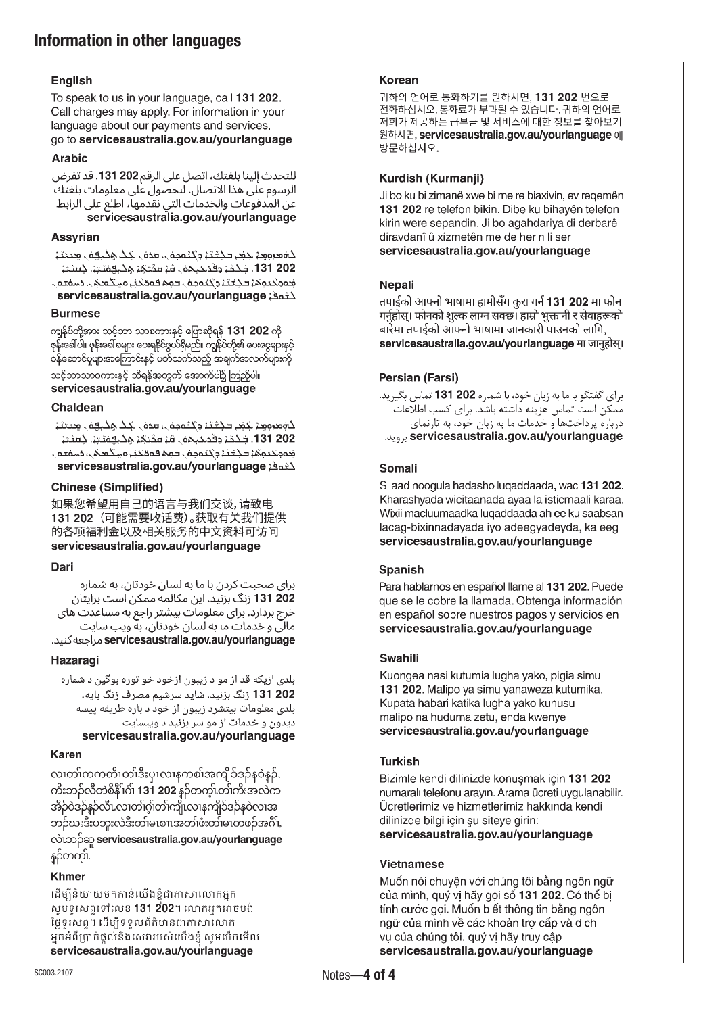## **English**

To speak to us in your language, call 131 202. Call charges may apply. For information in your language about our payments and services, go to servicesaustralia.gov.au/yourlanguage

## **Arabic**

للتحدث إلينا بلغتك، اتصل على الرقم 202 131. قد تفرض الرسوم على هذا الاتصال. للحصول على معلومات بلغتك عن المدفوعات والخدمات التي نقدمها، اطلع على الرابط servicesaustralia.gov.au/yourlanguage

## Assyrian

كەمرەمد جمر كېتىن وتتىممى، مدەل بىك ھكىمەل مىمتى 202 131. فَحْجَةٍ مِقْمَحِيمَةٍ ، قَدْ مَمْتَمَةٍ مَخْتَقَمَةٍ. خَمَعْتُ جموكيوها فكثنا وكتموهن فمم فوقكني ميكغكن فسمعون servicesaustralia.gov.au/yourlanguage

## **Burmese**

ကျွန်ုပ်တို့အား သင့်ဘာ သာစကားနှင့် ပြောဆိုရန် 131 202 ကို ဖုန်းခေါ်ပါ။ ဖုန်းခေါ် ခများ ပေးရနိုင်ဖွယ်ရှိမည်။ ကျွန်ုပ်တို့၏ ပေးငွေများနှင့် ဝန်ဆောင်မှုများအကြောင်းနှင့် ပတ်သက်သည့် အချက်အလက်များကို သင့်ဘာသာစကားနှင့် သိရန်အတွက် အောက်ပါ၌ ကြည့်ပါ။ servicesaustralia.gov.au/yourlanguage

## Chaldean

كۈمرەم: جَمْع كَيْتَ، وكتومۇل، مەن جَك ھِكبوق مِحتتَ، 202-131. جَحْمَۃٍ دِقَمَحَـِـِـمَہَ ِ مَءَ مَمْحَمَۃٍ مِحْبِقِمَتِۃٍ۔ چَمَعْۃ مُعمَّدِ تَحِمَّمُ كَيْكَتَبْ وَيُحْمَدِهُ ، فَمَمْ قَمِدْتَخْنِي مَسْتَخْمَى، مُسْمَعَةٍ ، servicesaustralia.gov.au/yourlanguage

## **Chinese (Simplified)**

如果您希望用自己的语言与我们交谈,请致电 131 202 (可能需要收话费)。获取有关我们提供 的各项福利金以及相关服务的中文资料可访问 servicesaustralia.gov.au/yourlanguage

## Dari

برای صحبت کردن با ما به لسان خودتان، به شماره **202 131** زنگ بزنید. این مکالمه ممکن است برایتان خرج بردارد. برای معلومات بیشتر راجع به مساعدت های مالی و خدمات ما به لسان خودتان، به ویب سایت servicesaustralia.gov.au/yourlanguage مراجعه كنيد.

## Hazaragi

بلدی ازیکه قد از مو د زیبون ازخود خو توره بوگین د شماره 131 202 زنگ بزنید. شاید سرشیم مصرف زنگ بایه. بلدی معلومات بیتشرد زیبون از خود د باره طریقه پیسه دیدون و خدمات از مو سر بزنید د ویبسایت

## servicesaustralia.gov.au/yourlanguage

## **Karen**

လ၊တၢ်ကကတိၤတၢ်ဒီးပုၤလၢနကစၢ်အကျိၥ်ဒဉ်နဝဲနဉ်, ကိးဘဉ်လီတဲစိနိ<sup>ု</sup>က်၊ **131 202** နဉ်တက့်၊တ<sup>ို</sup>ကိ<sup>း</sup>အလဲက အိဉ်ဝဲဒဉ်နဉ်လီၤလၢတၢ်ဂ့ါတာ်ကျိုးလၢနကျိ၁်ဒဉ်နဝဲလ၊အ ဘဉ်ဃးဒီးပဘူးလဲဒီးတ်၊မၤစၢၤအတ်၊ဖံးတ်၊မၤတဖဉ်အင်္ဂိၢ, လဲ၊ဘဉ်ဆူ servicesaustralia.gov.au/yourlanguage နှဉ်တက့်၊

## **Khmer**

ដើម្បីនិយាយមកកាន់យើងខ្ញុំជាភាសាលោកអ្នក ាសូមទូរសព្ទទៅលេខ 131 202។ លោកអ្នកអាចបង់ ថ្លៃទូរសព្ទ។ ដើម្បីទទួលព័ត៌មានជាភាសាលោក អ្នកអំពីប្រាក់ផ្តល់និងសេវារបស់យើងខ្ញុំ សូមបើកមើល servicesaustralia.gov.au/yourlanguage

## **Korean**

귀하의 언어로 통화하기를 원하시면, 131 202 번으로 전화하십시오. 통화료가 부과될 수 있습니다. 귀하의 언어로 저희가 제공하는 급부금 및 서비스에 대한 정보를 찾아보기 원하시면, servicesaustralia.gov.au/yourlanguage 에 방문하십시오.

## Kurdish (Kurmanji)

Ji bo ku bi zimanê xwe bi me re biaxivin, ev regemên 131 202 re telefon bikin. Dibe ku bihayên telefon kirin were sepandin. Ji bo agahdariya di derbarê diravdanî û xizmetên me de herin li ser servicesaustralia.gov.au/yourlanguage

## **Nepali**

तपाईको आफ्नो भाषामा हामीसँग करा गर्न 131 202 मा फोन गर्नुहोस्। फोनको शुल्क लाग्न सक्छ। हाम्रो भुक्तानी र सेवाहरूको बारेमा तपाईको ऑफ्नो भाषामा जानकारी पाउनको लागि. servicesaustralia.gov.au/yourlanguage मा जानुहोस्।

## Persian (Farsi)

برای گفتگو با ما به زبان خود، با شماره 202 131 تماس بگیرید. مَمَكّن استُ تماسَ هُزِينه دَاشته باشد. براي كسب اطلاعات ً درباره پرداختها و خدمات ما به زبان خود، به تارنمای servicesaustralia.gov.au/yourlanguage برويد.

## Somali

Si aad noogula hadasho luqaddaada, wac 131 202. Kharashyada wicitaanada ayaa la isticmaali karaa. Wixii macluumaadka luqaddaada ah ee ku saabsan lacag-bixinnadayada iyo adeegyadeyda, ka eeg servicesaustralia.gov.au/yourlanguage

## Spanish

Para hablarnos en español llame al 131 202. Puede que se le cobre la llamada. Obtenga información en español sobre nuestros pagos y servicios en servicesaustralia.gov.au/yourlanguage

## **Swahili**

Kuongea nasi kutumia lugha yako, pigia simu 131 202. Malipo ya simu yanaweza kutumika. Kupata habari katika lugha yako kuhusu malipo na huduma zetu, enda kwenye servicesaustralia.gov.au/yourlanguage

## **Turkish**

Bizimle kendi dilinizde konuşmak için 131 202 numaralı telefonu arayın. Arama ücreti uygulanabilir. Ücretlerimiz ve hizmetlerimiz hakkında kendi dilinizde bilgi için şu siteye girin: servicesaustralia.gov.au/yourlanguage

## **Vietnamese**

Muốn nói chuyên với chúng tôi bằng ngôn ngữ của mình, quý vị hãy gọi số 131 202. Có thể bị tính cước gọi. Muốn biết thông tin bằng ngôn ngữ của mình về các khoản trơ cấp và dịch vụ của chúng tôi, quý vị hãy truy cập servicesaustralia.gov.au/yourlanguage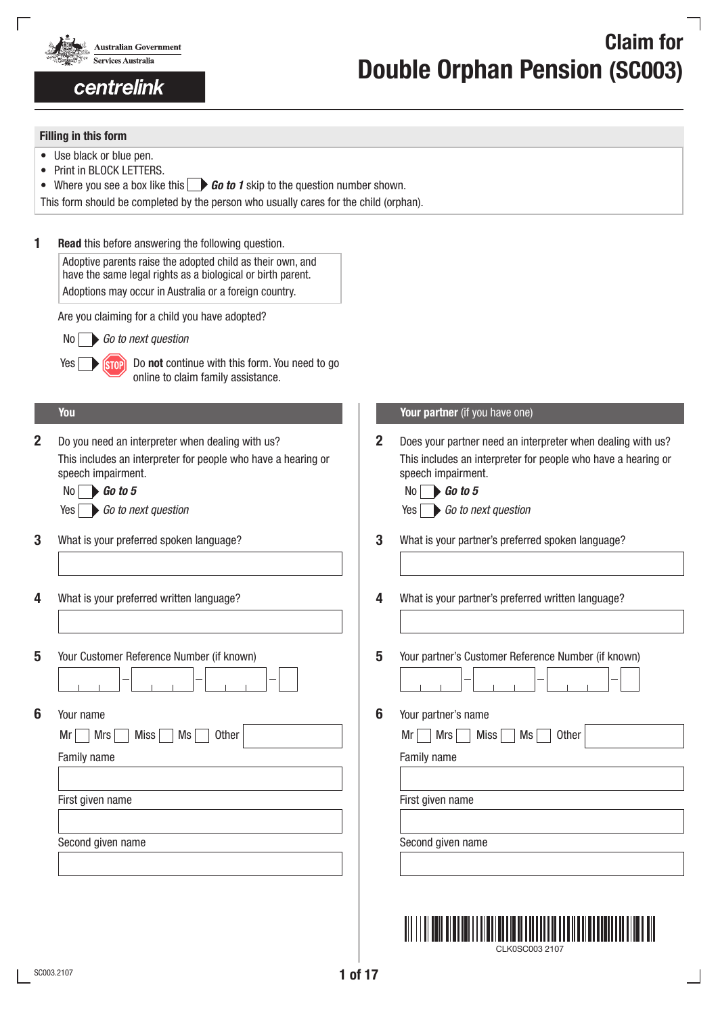

## centrelink

# laim for Double Orphan Pension (SC003)

## Filling in this form

- Use black or blue pen.
- Print in BLOCK LETTERS.
- Where you see a box like this  $\bigcirc$  **Go to 1** skip to the question number shown.

This form should be completed by the person who usually cares for the child (orphan).

|  |  |  | <b>Read</b> this before answering the following question. |  |  |  |
|--|--|--|-----------------------------------------------------------|--|--|--|
|--|--|--|-----------------------------------------------------------|--|--|--|

Adoptive parents raise the adopted child as their own, and have the same legal rights as a biological or birth parent. Adoptions may occur in Australia or a foreign country.

Are you claiming for a child you have adopted?

No *Go to next question*

Yes **Do form** Do not continue with this form. You need to go online to claim family assistance.

2 Do you need an interpreter when dealing with us? This includes an interpreter for people who have a hearing or speech impairment.

| 0 | $\blacktriangleright$ Go to 5 |  |
|---|-------------------------------|--|
|   | Co to no                      |  |

- 3 What is your preferred spoken language? 3 3
- 4 What is your preferred written language?
- 5 Your Customer Reference Number (if known) 5
- 

Mr Mrs Miss Miss Ms Other Mrs Mr Mrs Miss Ms Other

Family name Family name Family name Family name Family name Family name Family name Family name Family name  $\vert$ 

First given name **First given name** First given name

Second given name Second given name

| You | <b>Your partner</b> (if you have one) |
|-----|---------------------------------------|
|-----|---------------------------------------|

Does your partner need an interpreter when dealing with us? This includes an interpreter for people who have a hearing or speech impairment.

| $\mathsf{No} \quad \bullet$ Go to 5   | $\mathsf{No}$ 60 to 5                 |
|---------------------------------------|---------------------------------------|
| $Yes \rightarrow Go$ to next question | $Yes \rightarrow Go$ to next question |

- What is your partner's preferred spoken language?
- What is your partner's preferred written language?
- Your partner's Customer Reference Number (if known)
	-
- **6** Your name **6** Your partner's name

CLK0SC003 2107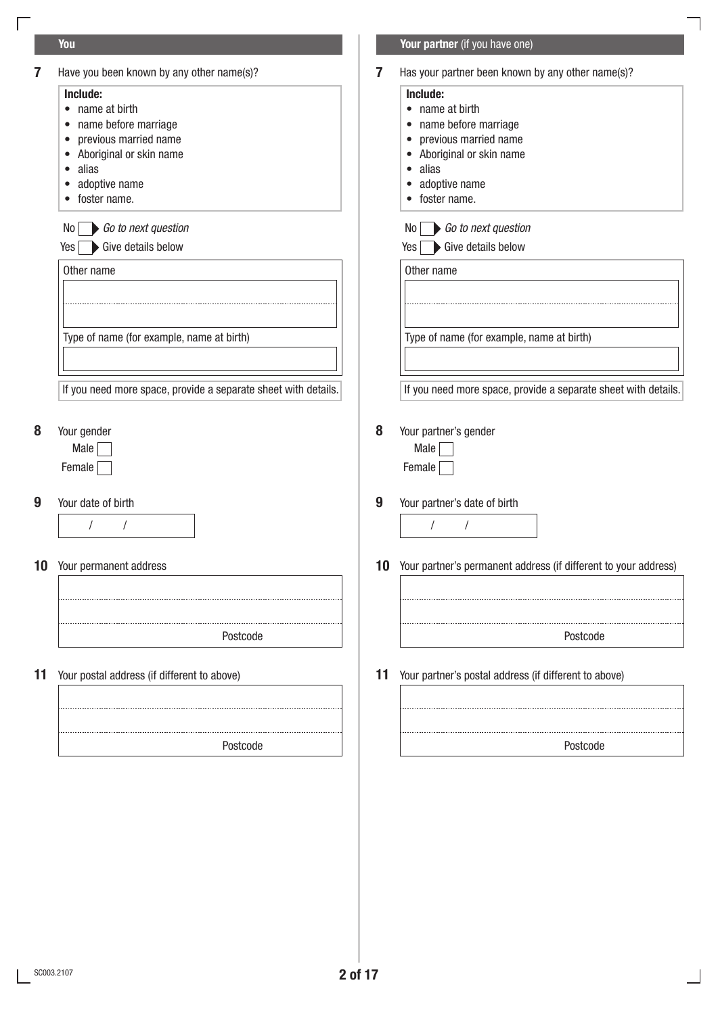## You Your partner (if you have one) 7 Have you been known by any other name(s)? **7** Has your partner been known by any other name(s)? Include: Include: • name at birth • name at birth • name before marriage • name before marriage • previous married name • previous married name • Aboriginal or skin name • Aboriginal or skin name • alias • alias • adoptive name • adoptive name • foster name. • foster name.  $No \frown$  Go to next question *Go to next question Go to next question* Yes Sive details below Yes Sive details below Other name and other name of the other name of the other name of the other name of the other name Type of name (for example, name at birth) Type of name (for example, name at birth) If you need more space, provide a separate sheet with details. If you need more space, provide a separate sheet with details. 8 Your gender 8 Your partner's gender Male Male **Male** Female Female Female Female Female Female Female Female Female Female Female Female Female Female Female Female F 9 Your date of birth 9 Your partner's date of birth / / / / 10 Your partner's permanent address (if different to your address) **10** Your permanent address Postcode Postcode Postcode 11 Your postal address (if different to above) 11 Your partner's postal address (if different to above) PostcodePostcode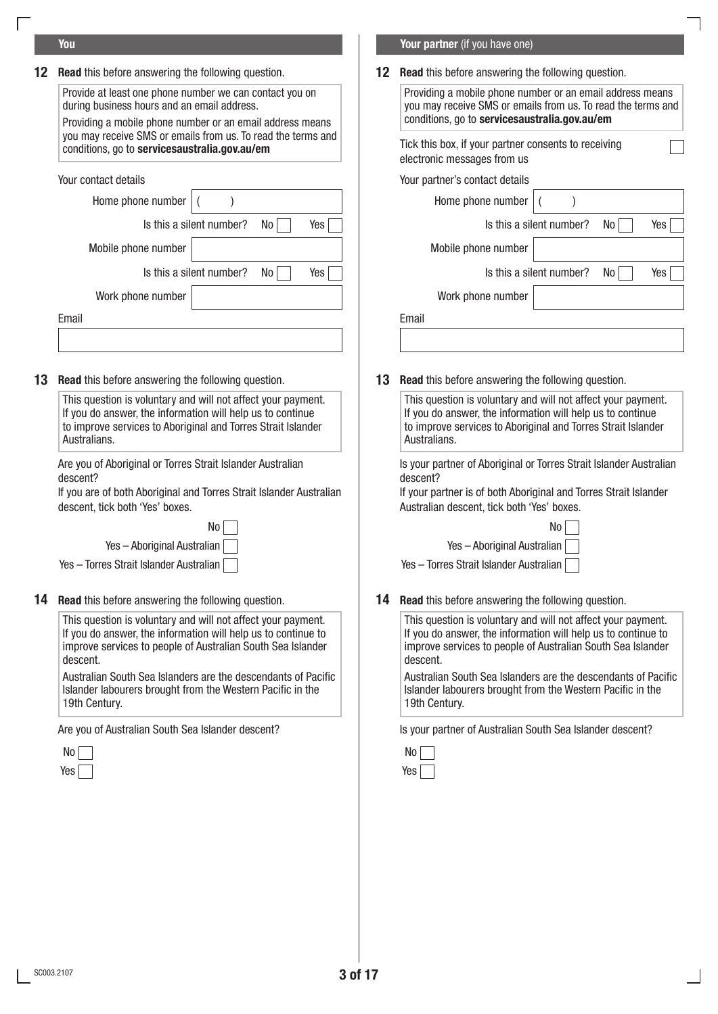| <b>12</b> Read this before answering the following question. |  | <b>12</b> Read this before answering the following question. |  |
|--------------------------------------------------------------|--|--------------------------------------------------------------|--|
|--------------------------------------------------------------|--|--------------------------------------------------------------|--|

Provide at least one phone number we can contact you on during business hours and an email address.

Providing a mobile phone number or an email address means you may receive SMS or emails from us. To read the terms and conditions, go to servicesaustralia.gov.au/em

| Your contact details                  | Your i |
|---------------------------------------|--------|
| Home phone number                     |        |
| Is this a silent number?<br>No<br>Yes |        |
| Mobile phone number                   |        |
| Is this a silent number?<br>Yes<br>No |        |
| Work phone number                     |        |
| Email                                 |        |
|                                       |        |

13 Read this before answering the following question. 13 Read this before answering the following question.

This question is voluntary and will not affect your payment. If you do answer, the information will help us to continue to improve services to Aboriginal and Torres Strait Islander Australians.

Are you of Aboriginal or Torres Strait Islander Australian descent?

If you are of both Aboriginal and Torres Strait Islander Australian descent, tick both 'Yes' boxes.

**14 Read** this before answering the following question.

This question is voluntary and will not affect your payment. If you do answer, the information will help us to continue to improve services to people of Australian South Sea Islander descent.

Australian South Sea Islanders are the descendants of Pacific Islander labourers brought from the Western Pacific in the 19th Century.

| No         | No  |
|------------|-----|
| Yes $\Box$ | Yes |

### **You You have one) we have a straight a straight of the straight of the <b>Your partner** (if you have one)

Providing a mobile phone number or an email address means you may receive SMS or emails from us. To read the terms and conditions, go to servicesaustralia.gov.au/em Your partner's contact details Home phone number  $\vert$  ( ) Is this a silent number? Is this a silent number? No No Yes Yes Is this a silent number? Is this a silent number? No No Yes Yes Mobile phone number Work phone number Tick this box, if your partner consents to receiving electronic messages from us

This question is voluntary and will not affect your payment. If you do answer, the information will help us to continue to improve services to Aboriginal and Torres Strait Islander Australians.

Is your partner of Aboriginal or Torres Strait Islander Australian descent?

If your partner is of both Aboriginal and Torres Strait Islander Australian descent, tick both 'Yes' boxes.

No No Yes – Aboriginal Australian Times – Aboriginal Australian Ves – Aboriginal Australian

Yes – Torres Strait Islander Australian Yes – Torres Strait Islander Australian

14 Read this before answering the following question.

This question is voluntary and will not affect your payment. If you do answer, the information will help us to continue to improve services to people of Australian South Sea Islander descent.

Australian South Sea Islanders are the descendants of Pacific Islander labourers brought from the Western Pacific in the 19th Century.

Are you of Australian South Sea Islander descent? In Its your partner of Australian South Sea Islander descent?

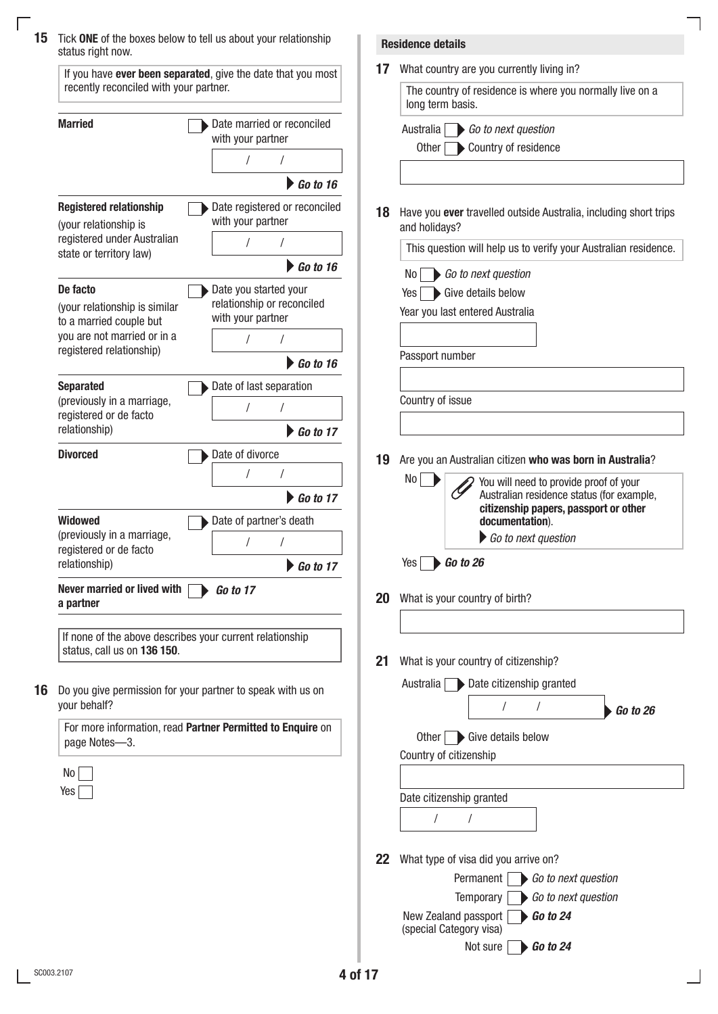| status right now.                                                                                      |                                                 |           | <b>Residence details</b>                                                                  |
|--------------------------------------------------------------------------------------------------------|-------------------------------------------------|-----------|-------------------------------------------------------------------------------------------|
| If you have ever been separated, give the date that you most<br>recently reconciled with your partner. |                                                 | 17        | What country are you currently living in?                                                 |
|                                                                                                        |                                                 |           | The country of residence is where you normally live on a<br>long term basis.              |
| <b>Married</b>                                                                                         | Date married or reconciled<br>with your partner |           | Go to next question<br>Australia                                                          |
|                                                                                                        |                                                 |           | Other <b>Country of residence</b>                                                         |
|                                                                                                        | $\triangleright$ Go to 16                       |           |                                                                                           |
| <b>Registered relationship</b>                                                                         | Date registered or reconciled                   |           |                                                                                           |
| (your relationship is                                                                                  | with your partner                               | 18        | Have you ever travelled outside Australia, including short trips<br>and holidays?         |
| registered under Australian<br>state or territory law)                                                 |                                                 |           | This question will help us to verify your Australian residence.                           |
|                                                                                                        | $\triangleright$ Go to 16                       |           | Go to next question<br>No                                                                 |
| De facto                                                                                               | Date you started your                           |           | Give details below<br>Yes                                                                 |
| (your relationship is similar                                                                          | relationship or reconciled<br>with your partner |           | Year you last entered Australia                                                           |
| to a married couple but<br>you are not married or in a                                                 |                                                 |           |                                                                                           |
| registered relationship)                                                                               | $\triangleright$ Go to 16                       |           | Passport number                                                                           |
| <b>Separated</b>                                                                                       | Date of last separation                         |           |                                                                                           |
| (previously in a marriage,                                                                             |                                                 |           | Country of issue                                                                          |
| registered or de facto<br>relationship)                                                                | $\triangleright$ Go to 17                       |           |                                                                                           |
| <b>Divorced</b>                                                                                        |                                                 |           |                                                                                           |
|                                                                                                        | Date of divorce                                 | 19        | Are you an Australian citizen who was born in Australia?                                  |
|                                                                                                        | $\triangleright$ Go to 17                       |           | No<br>You will need to provide proof of your<br>Australian residence status (for example, |
| <b>Widowed</b>                                                                                         | Date of partner's death                         |           | citizenship papers, passport or other                                                     |
| (previously in a marriage,                                                                             |                                                 |           | documentation).<br>Go to next question                                                    |
| registered or de facto<br>relationship)                                                                | $\triangleright$ Go to 17                       |           | $\rightarrow$ Go to 26<br>Yes                                                             |
|                                                                                                        |                                                 |           |                                                                                           |
| Never married or lived with<br><b>Go to 17</b><br>a partner                                            |                                                 | <b>20</b> | What is your country of birth?                                                            |
|                                                                                                        |                                                 |           |                                                                                           |
| If none of the above describes your current relationship<br>status, call us on 136 150.                |                                                 |           |                                                                                           |
| Do you give permission for your partner to speak with us on                                            |                                                 |           | What is your country of citizenship?                                                      |
|                                                                                                        |                                                 |           | Australia Date citizenship granted                                                        |
| your behalf?                                                                                           |                                                 |           | $\cdot$ Go to 26                                                                          |
| For more information, read Partner Permitted to Enquire on<br>page Notes-3.                            |                                                 |           | Other Give details below                                                                  |
|                                                                                                        |                                                 |           | Country of citizenship                                                                    |
| No                                                                                                     |                                                 |           |                                                                                           |
| $Yes \mid$                                                                                             |                                                 |           | Date citizenship granted                                                                  |
|                                                                                                        |                                                 |           |                                                                                           |
|                                                                                                        |                                                 |           |                                                                                           |
|                                                                                                        |                                                 | 22        | What type of visa did you arrive on?                                                      |
|                                                                                                        |                                                 |           | Permanent<br>Go to next question<br>Temporary<br>Go to next question                      |
|                                                                                                        |                                                 |           | New Zealand passport<br>$\bigtriangledown$ Go to 24                                       |
|                                                                                                        |                                                 |           | (special Category visa)                                                                   |
|                                                                                                        |                                                 |           | $\bigtriangledown$ Go to 24<br>Not sure                                                   |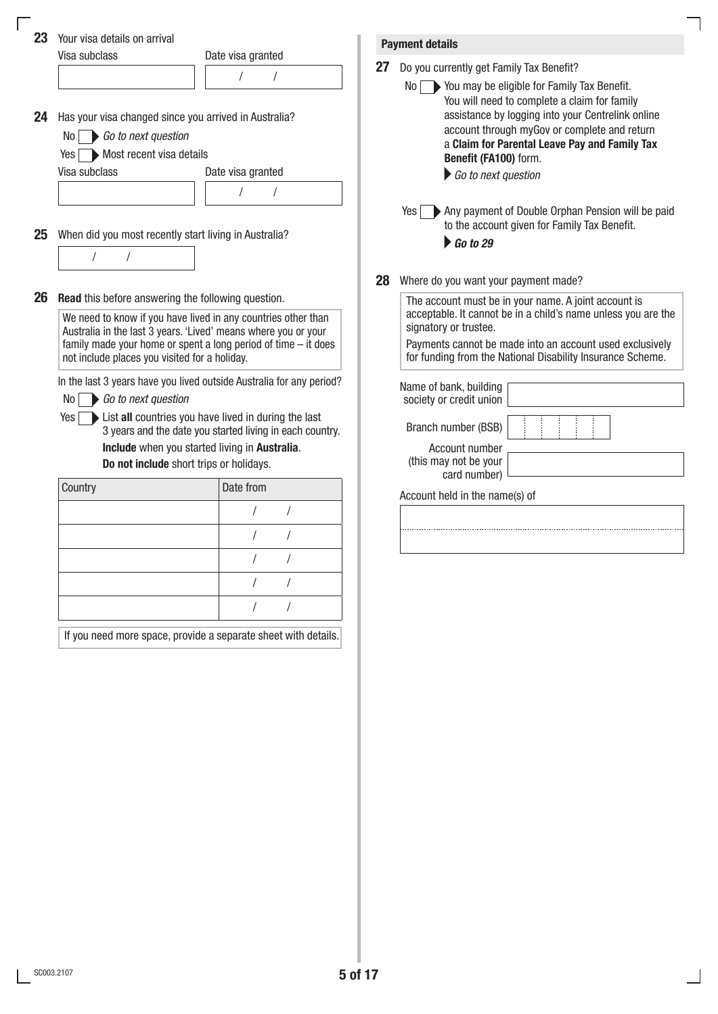|                                           | Your visa details on arrival                              |                                                                                                                                    |    |                                                                                                                                                                                                                                                                                                        |
|-------------------------------------------|-----------------------------------------------------------|------------------------------------------------------------------------------------------------------------------------------------|----|--------------------------------------------------------------------------------------------------------------------------------------------------------------------------------------------------------------------------------------------------------------------------------------------------------|
| 23<br>Visa subclass                       |                                                           | Date visa granted                                                                                                                  |    | <b>Payment details</b>                                                                                                                                                                                                                                                                                 |
|                                           |                                                           | $\sqrt{2}$                                                                                                                         | 27 | Do you currently get Family Tax Benefit?                                                                                                                                                                                                                                                               |
| No <sub>1</sub><br>Yes I<br>Visa subclass | Go to next question<br>Most recent visa details           | Has your visa changed since you arrived in Australia?<br>Date visa granted<br>$\prime$                                             |    | No > You may be eligible for Family Tax Benefit.<br>You will need to complete a claim for family<br>assistance by logging into your Centrelink online<br>account through myGov or complete and return<br>a Claim for Parental Leave Pay and Family Tax<br>Benefit (FA100) form.<br>Go to next question |
|                                           | When did you most recently start living in Australia?     |                                                                                                                                    |    | Any payment of Double Orphan Pension will be paid<br>Yes<br>to the account given for Family Tax Benefit.<br>$\blacktriangleright$ Go to 29                                                                                                                                                             |
|                                           |                                                           |                                                                                                                                    |    |                                                                                                                                                                                                                                                                                                        |
|                                           |                                                           |                                                                                                                                    | 28 | Where do you want your payment made?                                                                                                                                                                                                                                                                   |
|                                           | <b>Read</b> this before answering the following question. |                                                                                                                                    |    | The account must be in your name. A joint account is                                                                                                                                                                                                                                                   |
|                                           |                                                           | We need to know if you have lived in any countries other than                                                                      |    | acceptable. It cannot be in a child's name unless you are the                                                                                                                                                                                                                                          |
|                                           |                                                           | Australia in the last 3 years. 'Lived' means where you or your<br>family made your home or spent a long period of time $-$ it does |    | signatory or trustee.<br>Payments cannot be made into an account used exclusively                                                                                                                                                                                                                      |
|                                           | not include places you visited for a holiday.             |                                                                                                                                    |    | for funding from the National Disability Insurance Scheme.                                                                                                                                                                                                                                             |
| No                                        | Go to next question                                       | In the last 3 years have you lived outside Australia for any period?                                                               |    | Name of bank, building<br>society or credit union                                                                                                                                                                                                                                                      |
| Yes                                       |                                                           | List all countries you have lived in during the last<br>3 years and the date you started living in each country.                   |    | Branch number (BSB)                                                                                                                                                                                                                                                                                    |
|                                           |                                                           | Include when you started living in Australia.                                                                                      |    | Account number<br>(this may not be your                                                                                                                                                                                                                                                                |
| Do not include short trips or holidays.   |                                                           |                                                                                                                                    |    | card number)                                                                                                                                                                                                                                                                                           |
| Country                                   |                                                           | Date from                                                                                                                          |    | Account held in the name(s) of                                                                                                                                                                                                                                                                         |
|                                           |                                                           |                                                                                                                                    |    |                                                                                                                                                                                                                                                                                                        |
|                                           |                                                           |                                                                                                                                    |    |                                                                                                                                                                                                                                                                                                        |
|                                           |                                                           |                                                                                                                                    |    |                                                                                                                                                                                                                                                                                                        |
|                                           |                                                           |                                                                                                                                    |    |                                                                                                                                                                                                                                                                                                        |
|                                           |                                                           |                                                                                                                                    |    |                                                                                                                                                                                                                                                                                                        |
|                                           |                                                           |                                                                                                                                    |    |                                                                                                                                                                                                                                                                                                        |
|                                           |                                                           | If you need more space, provide a separate sheet with details.                                                                     |    |                                                                                                                                                                                                                                                                                                        |

٦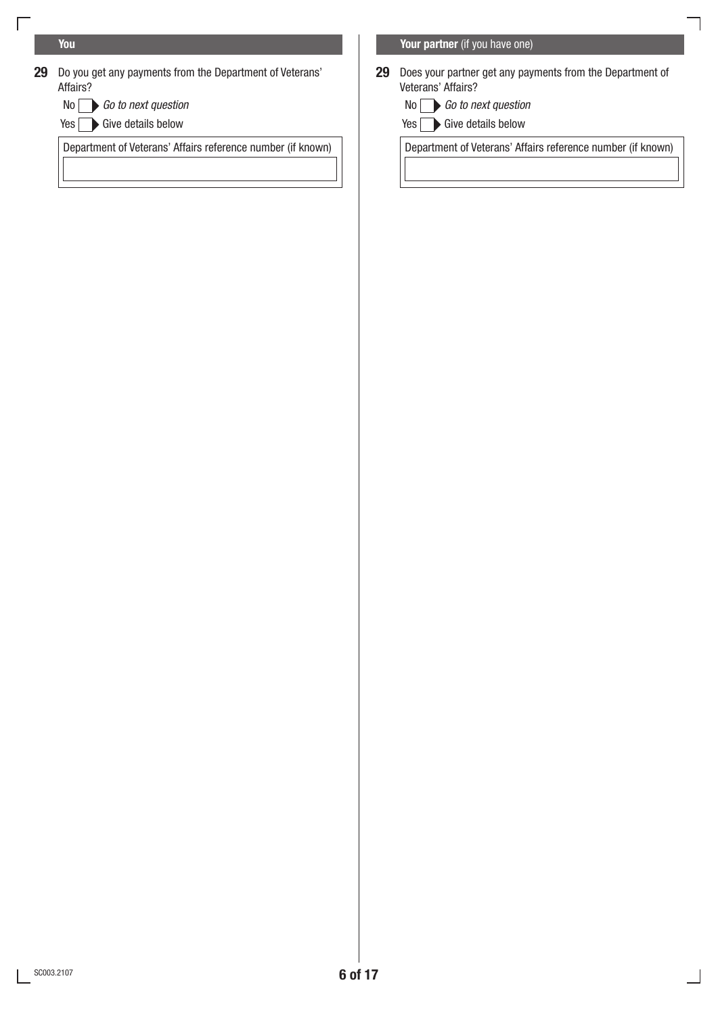$\Box$ 

- 29 Do you get any payments from the Department of Veterans' Affairs?
	- $No \frown$  Go to next question
	- Yes Sive details below

**You You and the state of the state of the state of the state of the <b>Your partner** (if you have one)

- 29 Does your partner get any payments from the Department of Veterans' Affairs?
	- *Go to next question Go to next question*
	- $Yes \frown Give details below$

Department of Veterans' Affairs reference number (if known) Department of Veterans' Affairs reference number (if known)

٦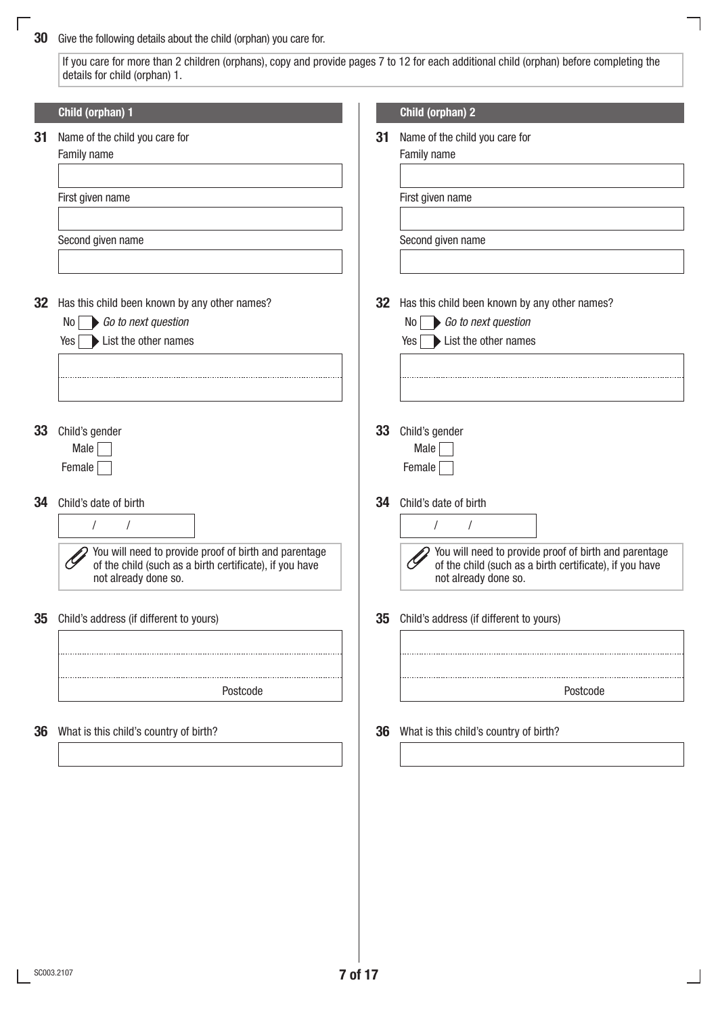## **30** Give the following details about the child (orphan) you care for.

 $\sqrt{2}$ 

If you care for more than 2 children (orphans), copy and provide pages 7 to 12 for each additional child (orphan) before completing the details for child (orphan) 1.

٦

|    | Child (orphan) 1                                                                                                                                                                |    | Child (orphan) 2                                                                                                                                                  |
|----|---------------------------------------------------------------------------------------------------------------------------------------------------------------------------------|----|-------------------------------------------------------------------------------------------------------------------------------------------------------------------|
| 31 | Name of the child you care for<br>Family name                                                                                                                                   | 31 | Name of the child you care for<br>Family name                                                                                                                     |
|    | First given name                                                                                                                                                                |    | First given name                                                                                                                                                  |
|    | Second given name                                                                                                                                                               |    | Second given name                                                                                                                                                 |
| 32 | Has this child been known by any other names?<br>Go to next question<br>No <sub>1</sub><br>$Yes \rightarrow List$ the other names                                               | 32 | Has this child been known by any other names?<br>Go to next question<br>No l<br>Yes List the other names                                                          |
| 33 | Child's gender<br>Male<br>Female                                                                                                                                                | 33 | Child's gender<br>Male<br>Female                                                                                                                                  |
| 34 | Child's date of birth<br>$\sqrt{2}$<br>You will need to provide proof of birth and parentage<br>of the child (such as a birth certificate), if you have<br>not already done so. | 34 | Child's date of birth<br>You will need to provide proof of birth and parentage<br>of the child (such as a birth certificate), if you have<br>not already done so. |
| 35 | Child's address (if different to yours)                                                                                                                                         | 35 | Child's address (if different to yours)                                                                                                                           |
|    | Postcode                                                                                                                                                                        |    | Postcode                                                                                                                                                          |
| 36 | What is this child's country of birth?                                                                                                                                          | 36 | What is this child's country of birth?                                                                                                                            |
|    |                                                                                                                                                                                 |    |                                                                                                                                                                   |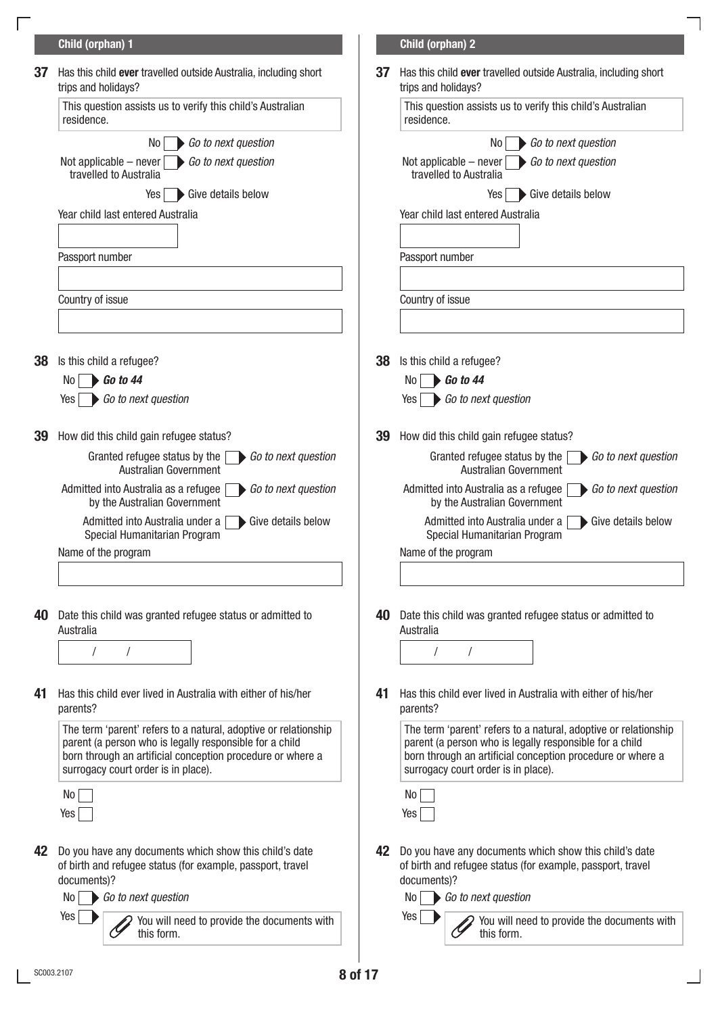|    | Child (orphan) 1                                                                                                                                                                                                                |    | Child (orphan) 2                                                                                                                                                                                                                |
|----|---------------------------------------------------------------------------------------------------------------------------------------------------------------------------------------------------------------------------------|----|---------------------------------------------------------------------------------------------------------------------------------------------------------------------------------------------------------------------------------|
| 37 | Has this child ever travelled outside Australia, including short<br>trips and holidays?                                                                                                                                         | 37 | Has this child ever travelled outside Australia, including short<br>trips and holidays?                                                                                                                                         |
|    | This question assists us to verify this child's Australian<br>residence.                                                                                                                                                        |    | This question assists us to verify this child's Australian<br>residence.                                                                                                                                                        |
|    | Go to next question<br>No <sub>1</sub>                                                                                                                                                                                          |    | Go to next question<br>No                                                                                                                                                                                                       |
|    | Not applicable – never $\Box$ Go to next question<br>travelled to Australia                                                                                                                                                     |    | Not applicable $-$ never<br>Go to next question<br>travelled to Australia                                                                                                                                                       |
|    | Give details below<br>$Yes \mid$                                                                                                                                                                                                |    | Give details below<br>Yes                                                                                                                                                                                                       |
|    | Year child last entered Australia                                                                                                                                                                                               |    | Year child last entered Australia                                                                                                                                                                                               |
|    | Passport number                                                                                                                                                                                                                 |    | Passport number                                                                                                                                                                                                                 |
|    | Country of issue                                                                                                                                                                                                                |    | Country of issue                                                                                                                                                                                                                |
|    |                                                                                                                                                                                                                                 |    |                                                                                                                                                                                                                                 |
| 38 | Is this child a refugee?                                                                                                                                                                                                        | 38 | Is this child a refugee?                                                                                                                                                                                                        |
|    | $\bigtriangledown$ Go to 44<br>No l                                                                                                                                                                                             |    | $\triangleright$ Go to 44<br>No.                                                                                                                                                                                                |
|    | Go to next question<br>Yes                                                                                                                                                                                                      |    | Go to next question<br>Yes                                                                                                                                                                                                      |
| 39 | How did this child gain refugee status?                                                                                                                                                                                         | 39 | How did this child gain refugee status?                                                                                                                                                                                         |
|    | Granted refugee status by the<br>Go to next question<br>Australian Government                                                                                                                                                   |    | Granted refugee status by the<br>Go to next question<br>Australian Government                                                                                                                                                   |
|    | Admitted into Australia as a refugee<br>Go to next question<br>by the Australian Government                                                                                                                                     |    | Admitted into Australia as a refugee<br>Go to next question<br>by the Australian Government                                                                                                                                     |
|    | Admitted into Australia under a<br>Give details below<br>Special Humanitarian Program                                                                                                                                           |    | Admitted into Australia under a<br>Give details below<br>Special Humanitarian Program                                                                                                                                           |
|    | Name of the program                                                                                                                                                                                                             |    | Name of the program                                                                                                                                                                                                             |
| 40 | Date this child was granted refugee status or admitted to                                                                                                                                                                       | 40 | Date this child was granted refugee status or admitted to                                                                                                                                                                       |
|    | Australia                                                                                                                                                                                                                       |    | Australia                                                                                                                                                                                                                       |
|    |                                                                                                                                                                                                                                 |    |                                                                                                                                                                                                                                 |
| 41 | Has this child ever lived in Australia with either of his/her<br>parents?                                                                                                                                                       | 41 | Has this child ever lived in Australia with either of his/her<br>parents?                                                                                                                                                       |
|    | The term 'parent' refers to a natural, adoptive or relationship<br>parent (a person who is legally responsible for a child<br>born through an artificial conception procedure or where a<br>surrogacy court order is in place). |    | The term 'parent' refers to a natural, adoptive or relationship<br>parent (a person who is legally responsible for a child<br>born through an artificial conception procedure or where a<br>surrogacy court order is in place). |
|    | No <sub>1</sub><br>Yes                                                                                                                                                                                                          |    | No<br>Yes                                                                                                                                                                                                                       |
| 42 | Do you have any documents which show this child's date<br>of birth and refugee status (for example, passport, travel<br>documents)?                                                                                             | 42 | Do you have any documents which show this child's date<br>of birth and refugee status (for example, passport, travel<br>documents)?                                                                                             |
|    | Go to next question<br>No                                                                                                                                                                                                       |    | Go to next question<br>No<br>Yes                                                                                                                                                                                                |
|    | Yes<br>You will need to provide the documents with<br>this form.                                                                                                                                                                |    | You will need to provide the documents with<br>this form.                                                                                                                                                                       |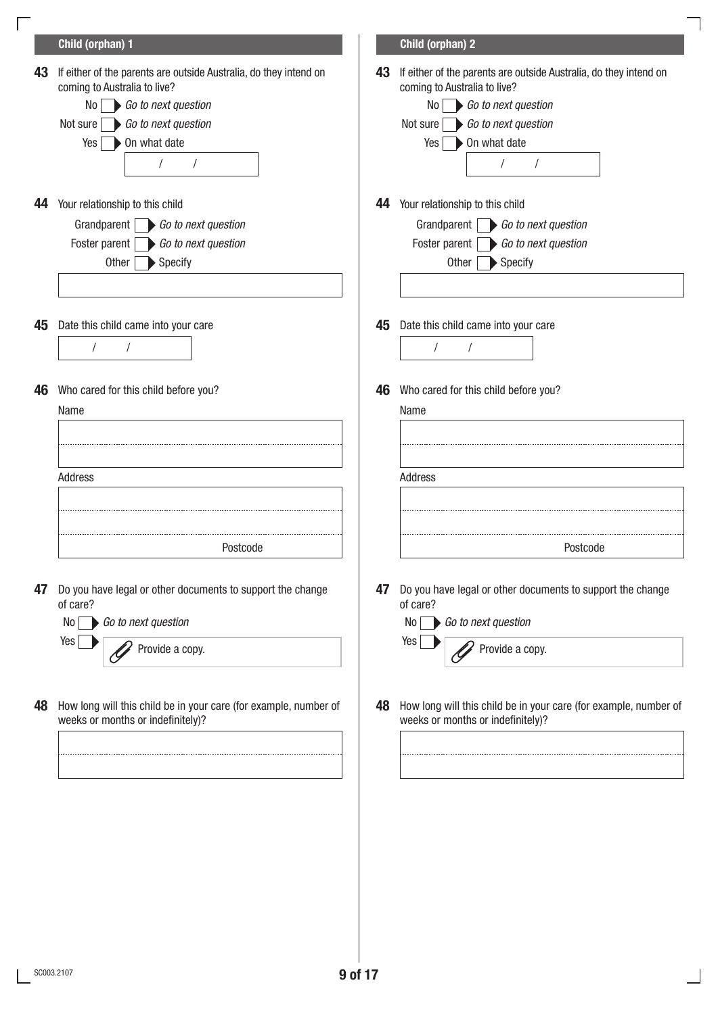|    | Child (orphan) 1                                                                                                                                                                                         |    | Child (orphan) 2                                                                                                                                                                                     |
|----|----------------------------------------------------------------------------------------------------------------------------------------------------------------------------------------------------------|----|------------------------------------------------------------------------------------------------------------------------------------------------------------------------------------------------------|
| 43 | If either of the parents are outside Australia, do they intend on<br>coming to Australia to live?<br>Go to next question<br>No I<br>Go to next question<br>Not sure<br>On what date<br>Yes<br>$\sqrt{ }$ | 43 | If either of the parents are outside Australia, do they intend on<br>coming to Australia to live?<br>Go to next question<br>No<br>Go to next question<br>Not sure<br>On what date<br>Yes<br>$\prime$ |
| 44 | Your relationship to this child<br>Grandparent $\Box$ Go to next question<br>Foster parent $\bigcirc$ Go to next question<br>$\blacktriangleright$ Specify<br>Other $\lceil$                             | 44 | Your relationship to this child<br>Grandparent $\Box$ Go to next question<br>Foster parent $\Box$ Go to next question<br>$\blacktriangleright$ Specify<br>Other                                      |
| 45 | Date this child came into your care<br>$\prime$                                                                                                                                                          | 45 | Date this child came into your care<br>$\prime$                                                                                                                                                      |
| 46 | Who cared for this child before you?<br>Name                                                                                                                                                             | 46 | Who cared for this child before you?<br>Name                                                                                                                                                         |
|    | Address                                                                                                                                                                                                  |    | Address                                                                                                                                                                                              |
|    | Postcode                                                                                                                                                                                                 |    | Postcode                                                                                                                                                                                             |
| 47 | Do you have legal or other documents to support the change<br>of care?<br>Go to next question<br>No<br>Yes<br>Provide a copy.                                                                            | 47 | Do you have legal or other documents to support the change<br>of care?<br>Go to next question<br>No<br>Yes<br>Provide a copy.                                                                        |
| 48 | How long will this child be in your care (for example, number of<br>weeks or months or indefinitely)?                                                                                                    | 48 | How long will this child be in your care (for example, number of<br>weeks or months or indefinitely)?                                                                                                |
|    |                                                                                                                                                                                                          |    |                                                                                                                                                                                                      |

 $\overline{\phantom{a}}$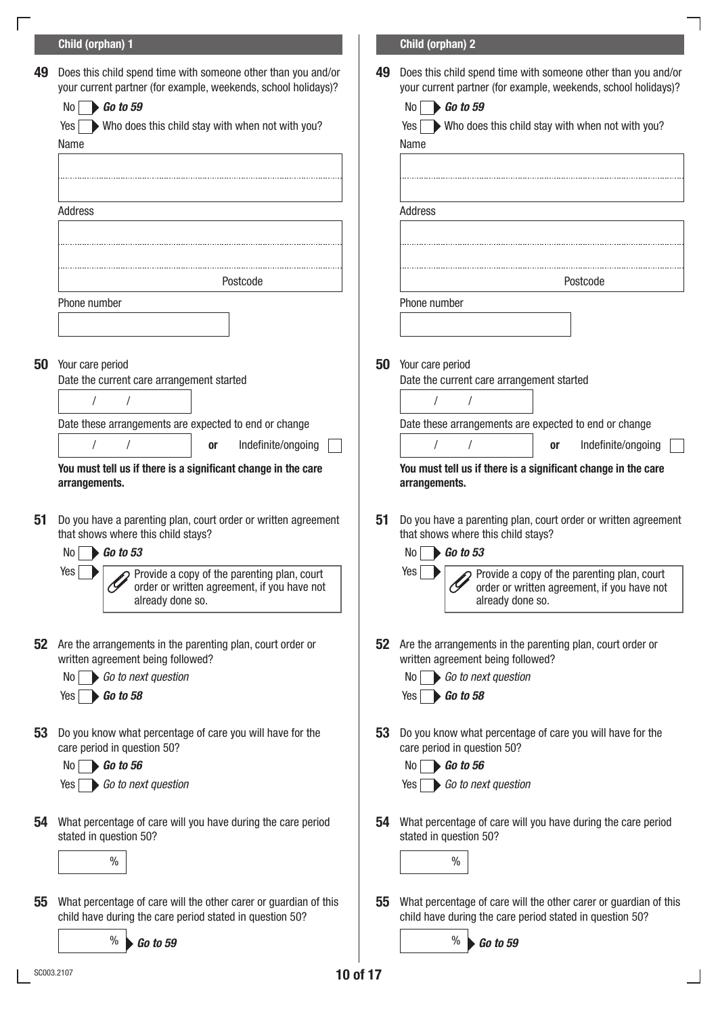## 49 Does this child spend time with someone other than you and/or | 49 your current partner (for example, weekends, school holidays)? Does this child spend time with someone other than you and/or your current partner (for example, weekends, school holidays)?  $Yes \longrightarrow$  Who does this child stay with when not with you? No **Go to 59** No **Go to 59** No **Go to 59** No **Go to 59** Yes Who does this child stay with when not with you? Address Address Address Address Address Address Address Address Address Address A Name Name Postcode Postcode Phone number **Phone number** Phone number **Phone number** 50 Your care period 50 Your care period Date the current care arrangement started Date the current care arrangement started Date these arrangements are expected to end or change Date these arrangements are expected to end or change You must tell us if there is a significant change in the care arrangements. You must tell us if there is a significant change in the care arrangements. / / / / / / **or Indefinite/ongoing | | | / / | or Indefinite/ongoing**  ${\bf 51}^-$  Do you have a parenting plan, court order or written agreement  $\quad \vert \quad {\bf 51}$  ${\bf 52}$  Are the arrangements in the parenting plan, court order or  $\begin{array}{|c|c|} \hline \end{array}$  ${\bf 53}^-$  Do you know what percentage of care you will have for the  $\begin{array}{|c|c|} \hline \end{array}$  ${\bf 54}$  What percentage of care will you have during the care period  $\begin{array}{|c|c|} \hline \end{array}$  ${\bf 55}$  What percentage of care will the other carer or guardian of this  $\quad \vert \quad {\bf 55}$ that shows where this child stays? Do you have a parenting plan, court order or written agreement that shows where this child stays? written agreement being followed? **52** Are the arrangements in the parenting plan, court order or written agreement being followed? care period in question 50? Do you know what percentage of care you will have for the care period in question 50? stated in question 50? What percentage of care will you have during the care period stated in question 50? child have during the care period stated in question 50? **55** What percentage of care will the other carer or guardian of this child have during the care period stated in question 50?  $Yes \rightarrow \sim$  Provide a copy of the parenting plan, court Yes order or written agreement, if you have not already done so. Provide a copy of the parenting plan, court order or written agreement, if you have not already done so. No **Go to 53** No **Go to 53**  $No \frown$  Go to next question  $\sqrt{a}$  No  $\sqrt{b}$  Go to 56 *Go to next question Go to next question Go to 56 Go to 56 Go to 58 Go to 58 Go to next question Go to next question*  $Yes \rightarrow Go to 58$ Yes Go to next question  $\%$   $\%$  $\%$  **G** are to 59  $\%$  **G** to 59 Child (orphan) 1 Child (orphan) 2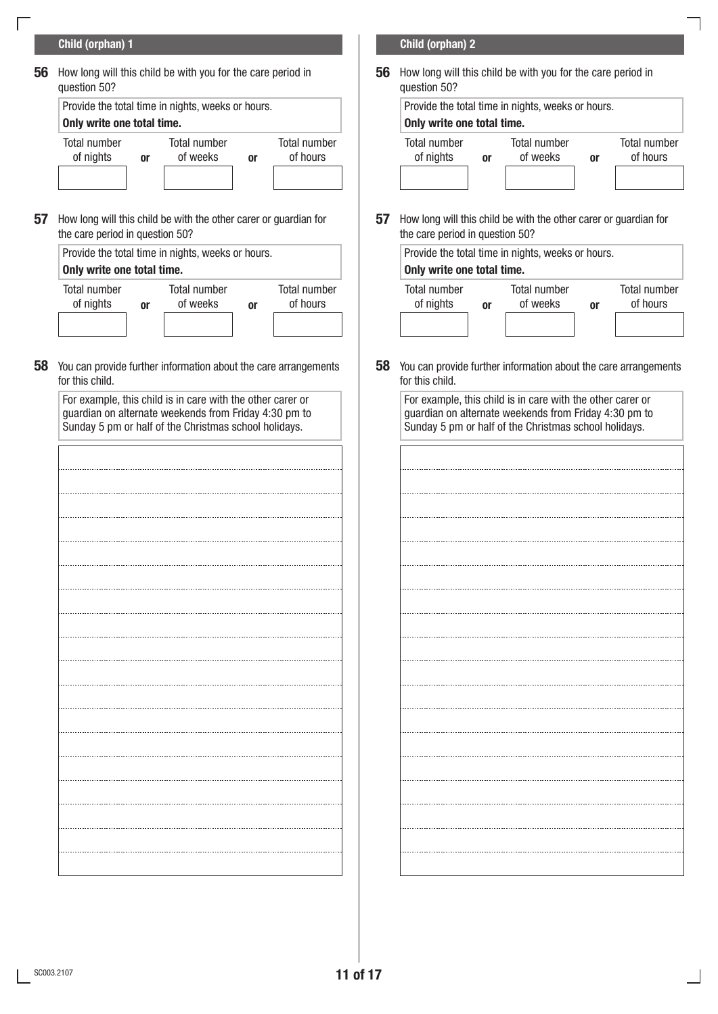## Child (orphan) 1 Child (orphan) 2

 ${\bf 56}$  How long will this child be with you for the care period in  $\qquad \qquad \mid \quad {\bf 56}$ question 50?

| Provide the total time in nights, weeks or hours. |    |                                 |    |                                 | Provide the total tim            |    |
|---------------------------------------------------|----|---------------------------------|----|---------------------------------|----------------------------------|----|
| Only write one total time.                        |    |                                 |    |                                 | Only write one tota              |    |
| <b>Total number</b><br>of nights                  | 0r | <b>Total number</b><br>of weeks | 0r | <b>Total number</b><br>of hours | <b>Total number</b><br>of nights | 0ľ |

 $57$  How long will this child be with the other carer or guardian for  $\begin{array}{|c|c|} \hline \end{array}$ the care period in question 50?

|                            |    | Provide the total time in nights, weeks or hours. |    |                                 | Provide the total tim            |    |
|----------------------------|----|---------------------------------------------------|----|---------------------------------|----------------------------------|----|
| Only write one total time. |    |                                                   |    |                                 | Only write one tota              |    |
| Total number<br>of nights  | 0r | <b>Total number</b><br>of weeks                   | 0r | <b>Total number</b><br>of hours | <b>Total number</b><br>of nights | 0ľ |

 ${\bf 58}$  You can provide further information about the care arrangements  $\quad$  58 for this child.

| For example, this child is in care with the other carer or |
|------------------------------------------------------------|
| guardian on alternate weekends from Friday 4:30 pm to      |
| Sunday 5 pm or half of the Christmas school holidays.      |

| $\ddotsc$ |   |
|-----------|---|
| .         |   |
|           | . |
|           | . |
|           |   |
|           |   |
|           |   |
|           |   |

**56** How long will this child be with you for the care period in question 50?



57 How long will this child be with the other carer or guardian for the care period in question 50?

| 10urs. |                          | Only write one total time.       |    | Provide the total time in nights, weeks or hours. |    |                          |
|--------|--------------------------|----------------------------------|----|---------------------------------------------------|----|--------------------------|
| 0ľ     | Total number<br>of hours | <b>Total number</b><br>of nights | 0ľ | <b>Total number</b><br>of weeks                   | 0r | Total number<br>of hours |

**58** You can provide further information about the care arrangements for this child.

For example, this child is in care with the other carer or guardian on alternate weekends from Friday 4:30 pm to Sunday 5 pm or half of the Christmas school holidays.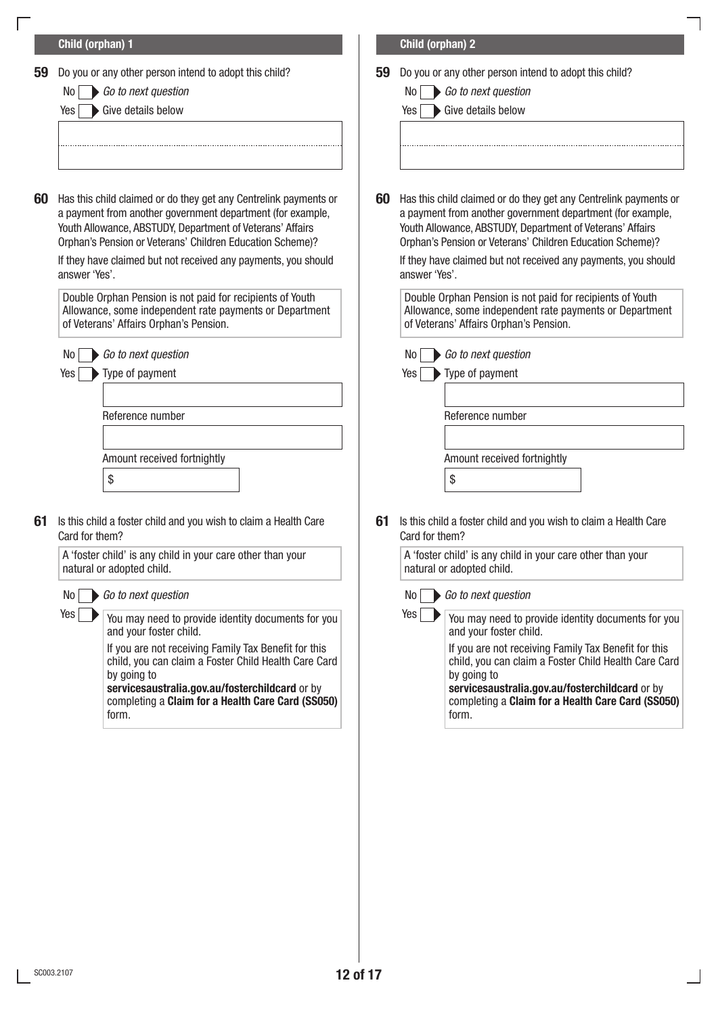|    | Child (orphan) 1                                                                                                                                                                                                                                                                                                                            |    | Child (orphan) 2                                                                                                                                                                                                                                                                                                                            |
|----|---------------------------------------------------------------------------------------------------------------------------------------------------------------------------------------------------------------------------------------------------------------------------------------------------------------------------------------------|----|---------------------------------------------------------------------------------------------------------------------------------------------------------------------------------------------------------------------------------------------------------------------------------------------------------------------------------------------|
| 59 | Do you or any other person intend to adopt this child?<br>Go to next question<br>No I<br>Give details below<br>Yes                                                                                                                                                                                                                          | 59 | Do you or any other person intend to adopt this child?<br>Go to next question<br>No I<br>Give details below<br>Yes                                                                                                                                                                                                                          |
| 60 | Has this child claimed or do they get any Centrelink payments or<br>a payment from another government department (for example,<br>Youth Allowance, ABSTUDY, Department of Veterans' Affairs<br>Orphan's Pension or Veterans' Children Education Scheme)?<br>If they have claimed but not received any payments, you should<br>answer 'Yes'. | 60 | Has this child claimed or do they get any Centrelink payments or<br>a payment from another government department (for example,<br>Youth Allowance, ABSTUDY, Department of Veterans' Affairs<br>Orphan's Pension or Veterans' Children Education Scheme)?<br>If they have claimed but not received any payments, you should<br>answer 'Yes'. |
|    | Double Orphan Pension is not paid for recipients of Youth<br>Allowance, some independent rate payments or Department<br>of Veterans' Affairs Orphan's Pension.                                                                                                                                                                              |    | Double Orphan Pension is not paid for recipients of Youth<br>Allowance, some independent rate payments or Department<br>of Veterans' Affairs Orphan's Pension.                                                                                                                                                                              |
|    | Go to next question<br>No<br>Type of payment<br>Yes<br>Reference number<br>Amount received fortnightly                                                                                                                                                                                                                                      |    | Go to next question<br>No<br>Type of payment<br>Yes<br>Reference number<br>Amount received fortnightly                                                                                                                                                                                                                                      |
| 61 | \$<br>Is this child a foster child and you wish to claim a Health Care<br>Card for them?                                                                                                                                                                                                                                                    | 61 | \$<br>Is this child a foster child and you wish to claim a Health Care<br>Card for them?<br>$\sim$                                                                                                                                                                                                                                          |
|    | A 'foster child' is any child in your care other than your<br>natural or adopted child.<br>Go to next question<br>No                                                                                                                                                                                                                        |    | A 'foster child' is any child in your care other than your<br>natural or adopted child.<br>Go to next question<br>No l                                                                                                                                                                                                                      |
|    | Yes<br>You may need to provide identity documents for you<br>and your foster child.<br>If you are not receiving Family Tax Benefit for this<br>child, you can claim a Foster Child Health Care Card<br>by going to<br>servicesaustralia.gov.au/fosterchildcard or by<br>completing a Claim for a Health Care Card (SS050)<br>form.          |    | $Yes \mid$<br>You may need to provide identity documents for you<br>and your foster child.<br>If you are not receiving Family Tax Benefit for this<br>child, you can claim a Foster Child Health Care Card<br>by going to<br>servicesaustralia.gov.au/fosterchildcard or by<br>completing a Claim for a Health Care Card (SS050)<br>form.   |

 $\frac{1}{2}$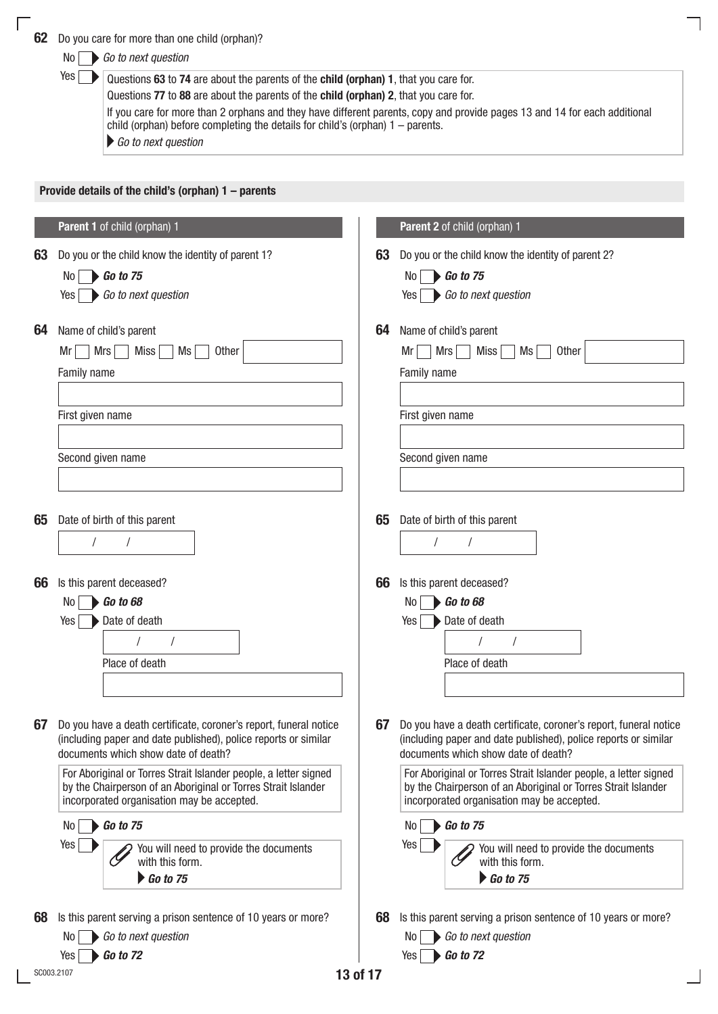<span id="page-16-1"></span><span id="page-16-0"></span>

|    | Yes<br>Questions 63 to 74 are about the parents of the child (orphan) 1, that you care for.<br>Questions 77 to 88 are about the parents of the child (orphan) 2, that you care for.<br>If you care for more than 2 orphans and they have different parents, copy and provide pages 13 and 14 for each additional<br>child (orphan) before completing the details for child's (orphan) $1 -$ parents.<br>Go to next question                                                                            |                |                                                                                                                                                                                                                                                                                                                                                                                                                                                                                                    |
|----|--------------------------------------------------------------------------------------------------------------------------------------------------------------------------------------------------------------------------------------------------------------------------------------------------------------------------------------------------------------------------------------------------------------------------------------------------------------------------------------------------------|----------------|----------------------------------------------------------------------------------------------------------------------------------------------------------------------------------------------------------------------------------------------------------------------------------------------------------------------------------------------------------------------------------------------------------------------------------------------------------------------------------------------------|
|    | Provide details of the child's (orphan) 1 - parents                                                                                                                                                                                                                                                                                                                                                                                                                                                    |                |                                                                                                                                                                                                                                                                                                                                                                                                                                                                                                    |
|    | Parent 1 of child (orphan) 1                                                                                                                                                                                                                                                                                                                                                                                                                                                                           |                | Parent 2 of child (orphan) 1                                                                                                                                                                                                                                                                                                                                                                                                                                                                       |
| 63 | Do you or the child know the identity of parent 1?<br>$\bigtriangleright$ Go to 75<br>No I<br>Go to next question<br>Yes                                                                                                                                                                                                                                                                                                                                                                               | 63             | Do you or the child know the identity of parent 2?<br>$\bigtriangleright$ Go to 75<br>No<br>Go to next question<br>Yes                                                                                                                                                                                                                                                                                                                                                                             |
| 64 | Name of child's parent<br>Mrs<br>Miss<br>Other<br>Mr<br>Ms<br>Family name<br>First given name<br>Second given name                                                                                                                                                                                                                                                                                                                                                                                     | 64             | Name of child's parent<br>Mrs<br><b>Miss</b><br><b>Other</b><br>Ms<br>Mr<br>Family name<br>First given name<br>Second given name                                                                                                                                                                                                                                                                                                                                                                   |
| 65 | Date of birth of this parent<br>$\sqrt{2}$                                                                                                                                                                                                                                                                                                                                                                                                                                                             | 65             | Date of birth of this parent                                                                                                                                                                                                                                                                                                                                                                                                                                                                       |
| 66 | Is this parent deceased?<br>$\bigtriangledown$ Go to 68<br>No <sub>1</sub><br>Date of death<br>Yes<br>Place of death                                                                                                                                                                                                                                                                                                                                                                                   | 66             | Is this parent deceased?<br>$\bigtriangledown$ Go to 68<br>No<br>Date of death<br>Yes<br>Place of death                                                                                                                                                                                                                                                                                                                                                                                            |
| 67 | Do you have a death certificate, coroner's report, funeral notice<br>(including paper and date published), police reports or similar<br>documents which show date of death?<br>For Aboriginal or Torres Strait Islander people, a letter signed<br>by the Chairperson of an Aboriginal or Torres Strait Islander<br>incorporated organisation may be accepted.<br>$\bigtriangledown$ Go to 75<br>No<br>Yes<br>You will need to provide the documents<br>with this form.<br>$\bigtriangledown$ Go to 75 | 67             | Do you have a death certificate, coroner's report, funeral notice<br>(including paper and date published), police reports or similar<br>documents which show date of death?<br>For Aboriginal or Torres Strait Islander people, a letter signed<br>by the Chairperson of an Aboriginal or Torres Strait Islander<br>incorporated organisation may be accepted.<br>$\triangleright$ Go to 75<br>No<br>Yes<br>You will need to provide the documents<br>with this form.<br>$\triangleright$ Go to 75 |
| 68 | Is this parent serving a prison sentence of 10 years or more?<br>Go to next question<br>No l<br><b>Go to 72</b><br>Yes                                                                                                                                                                                                                                                                                                                                                                                 | 68<br>13 of 17 | Is this parent serving a prison sentence of 10 years or more?<br>Go to next question<br><b>Go to 72</b><br>Yes                                                                                                                                                                                                                                                                                                                                                                                     |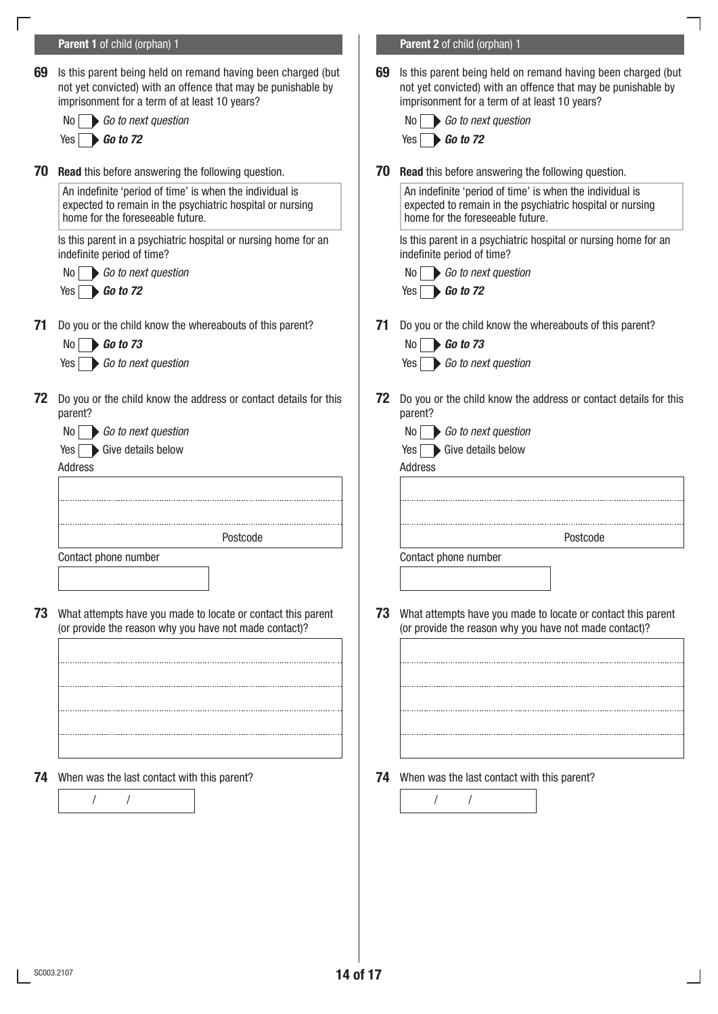<span id="page-17-1"></span><span id="page-17-0"></span>

|    | Parent 1 of child (orphan) 1                                                                                                                                                  |    | Parent 2 of child (orphan) 1                                                                                                                                                  |  |
|----|-------------------------------------------------------------------------------------------------------------------------------------------------------------------------------|----|-------------------------------------------------------------------------------------------------------------------------------------------------------------------------------|--|
| 69 | Is this parent being held on remand having been charged (but<br>not yet convicted) with an offence that may be punishable by<br>imprisonment for a term of at least 10 years? | 69 | Is this parent being held on remand having been charged (but<br>not yet convicted) with an offence that may be punishable by<br>imprisonment for a term of at least 10 years? |  |
|    | Go to next question<br>No I                                                                                                                                                   |    | Go to next question<br>No I                                                                                                                                                   |  |
|    | $\triangleright$ Go to 72<br>Yes I                                                                                                                                            |    | <b>Go to 72</b><br>Yes                                                                                                                                                        |  |
| 70 | <b>Read</b> this before answering the following question.                                                                                                                     | 70 | <b>Read</b> this before answering the following question.                                                                                                                     |  |
|    | An indefinite 'period of time' is when the individual is<br>expected to remain in the psychiatric hospital or nursing<br>home for the foreseeable future.                     |    | An indefinite 'period of time' is when the individual is<br>expected to remain in the psychiatric hospital or nursing<br>home for the foreseeable future.                     |  |
|    | Is this parent in a psychiatric hospital or nursing home for an<br>indefinite period of time?                                                                                 |    | Is this parent in a psychiatric hospital or nursing home for an<br>indefinite period of time?                                                                                 |  |
|    | Go to next question<br>No                                                                                                                                                     |    | Go to next question<br>No.                                                                                                                                                    |  |
|    | $Yes \rightarrow Go to 72$                                                                                                                                                    |    | $\bigtriangleright$ Go to 72<br>Yes                                                                                                                                           |  |
| 71 | Do you or the child know the whereabouts of this parent?                                                                                                                      | 71 | Do you or the child know the whereabouts of this parent?                                                                                                                      |  |
|    | <b>Go to 73</b><br>No                                                                                                                                                         |    | $\triangleright$ Go to 73<br>No.                                                                                                                                              |  |
|    | Go to next question<br>Yes                                                                                                                                                    |    | Go to next question<br>Yes                                                                                                                                                    |  |
| 72 | Do you or the child know the address or contact details for this<br>parent?                                                                                                   | 72 | Do you or the child know the address or contact details for this<br>parent?                                                                                                   |  |
|    | Go to next question<br>No.                                                                                                                                                    |    | Go to next question<br>No.                                                                                                                                                    |  |
|    | Yes Give details below                                                                                                                                                        |    | Give details below<br>Yes I                                                                                                                                                   |  |
|    | Address                                                                                                                                                                       |    | Address                                                                                                                                                                       |  |
|    |                                                                                                                                                                               |    |                                                                                                                                                                               |  |
|    | Postcode                                                                                                                                                                      |    | Postcode                                                                                                                                                                      |  |
|    | Contact phone number                                                                                                                                                          |    | Contact phone number                                                                                                                                                          |  |
|    |                                                                                                                                                                               |    |                                                                                                                                                                               |  |
| 73 | What attempts have you made to locate or contact this parent<br>(or provide the reason why you have not made contact)?                                                        | 73 | What attempts have you made to locate or contact this parent<br>(or provide the reason why you have not made contact)?                                                        |  |
|    |                                                                                                                                                                               |    |                                                                                                                                                                               |  |
|    |                                                                                                                                                                               |    |                                                                                                                                                                               |  |
|    |                                                                                                                                                                               |    |                                                                                                                                                                               |  |
|    |                                                                                                                                                                               |    |                                                                                                                                                                               |  |
|    |                                                                                                                                                                               |    |                                                                                                                                                                               |  |
| 74 | When was the last contact with this parent?                                                                                                                                   |    | <b>74</b> When was the last contact with this parent?                                                                                                                         |  |
|    |                                                                                                                                                                               |    |                                                                                                                                                                               |  |
|    |                                                                                                                                                                               |    |                                                                                                                                                                               |  |
|    |                                                                                                                                                                               |    |                                                                                                                                                                               |  |
|    |                                                                                                                                                                               |    |                                                                                                                                                                               |  |
|    |                                                                                                                                                                               |    |                                                                                                                                                                               |  |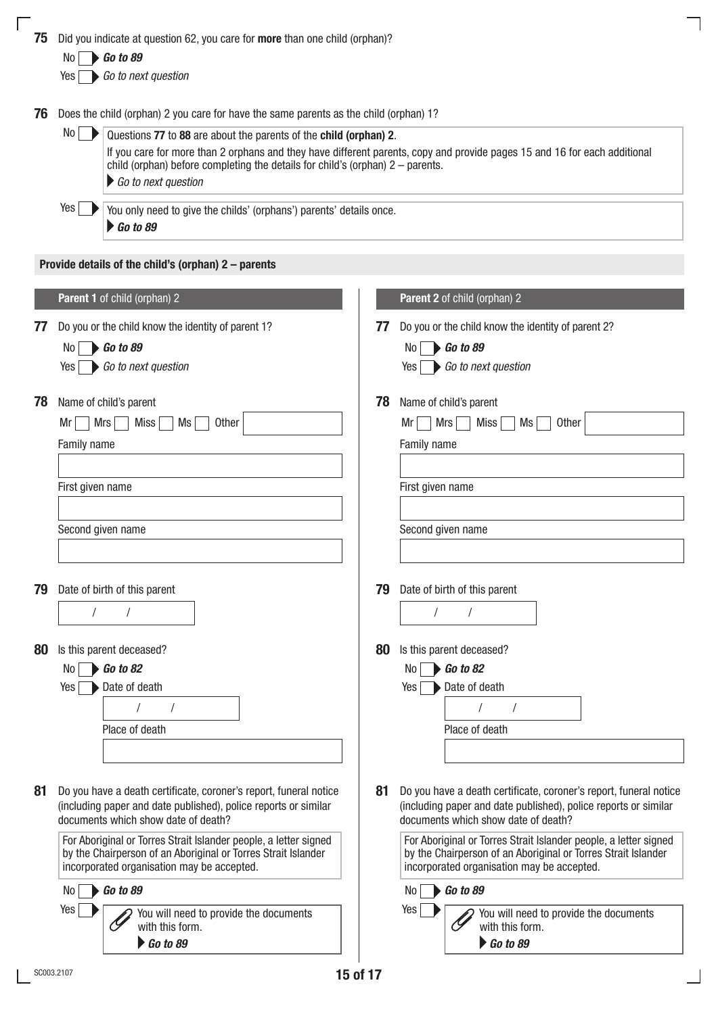<span id="page-18-0"></span>

| 75 | Did you indicate at question 62, you care for more than one child (orphan)?                                                                                                        |    |                                                                                                                           |
|----|------------------------------------------------------------------------------------------------------------------------------------------------------------------------------------|----|---------------------------------------------------------------------------------------------------------------------------|
|    | $\triangleright$ Go to 89<br>No                                                                                                                                                    |    |                                                                                                                           |
|    | Go to next question<br>Yes                                                                                                                                                         |    |                                                                                                                           |
| 76 | Does the child (orphan) 2 you care for have the same parents as the child (orphan) 1?                                                                                              |    |                                                                                                                           |
|    | No<br>Questions 77 to 88 are about the parents of the child (orphan) 2.<br>child (orphan) before completing the details for child's (orphan) $2$ – parents.<br>Go to next question |    | If you care for more than 2 orphans and they have different parents, copy and provide pages 15 and 16 for each additional |
|    | Yes<br>You only need to give the childs' (orphans') parents' details once.<br>$\triangleright$ Go to 89                                                                            |    |                                                                                                                           |
|    | Provide details of the child's (orphan) 2 - parents                                                                                                                                |    |                                                                                                                           |
|    | Parent 1 of child (orphan) 2                                                                                                                                                       |    | Parent 2 of child (orphan) 2                                                                                              |
| 77 | Do you or the child know the identity of parent 1?<br>Go to 89<br>No                                                                                                               | 77 | Do you or the child know the identity of parent 2?<br>Go to 89<br>No                                                      |
|    | Go to next question<br>Yes                                                                                                                                                         |    | Go to next question<br>Yes                                                                                                |
| 78 | Name of child's parent                                                                                                                                                             | 78 | Name of child's parent                                                                                                    |
|    | <b>Other</b><br>Mrs<br>Mr<br>Miss<br>Ms                                                                                                                                            |    | <b>Other</b><br>Mrs<br>Ms<br>Mr<br>Miss                                                                                   |
|    | Family name                                                                                                                                                                        |    | Family name                                                                                                               |
|    | First given name                                                                                                                                                                   |    | First given name                                                                                                          |
|    |                                                                                                                                                                                    |    |                                                                                                                           |
|    | Second given name                                                                                                                                                                  |    | Second given name                                                                                                         |
|    |                                                                                                                                                                                    |    |                                                                                                                           |
| 79 | Date of birth of this parent                                                                                                                                                       | 79 | Date of birth of this parent                                                                                              |
|    | $\sqrt{2}$<br>$\sqrt{2}$                                                                                                                                                           |    | $\prime$<br>$\sqrt{2}$                                                                                                    |
| 80 | Is this parent deceased?                                                                                                                                                           | 80 | Is this parent deceased?                                                                                                  |
|    | $\rightarrow$ Go to 82<br>No                                                                                                                                                       |    | $No \rightarrow Go$ to 82                                                                                                 |
|    | Yes<br>Date of death                                                                                                                                                               |    | Date of death<br>Yes                                                                                                      |
|    | $\sqrt{2}$                                                                                                                                                                         |    | $\sqrt{2}$<br>$\sqrt{ }$                                                                                                  |
|    | Place of death                                                                                                                                                                     |    | Place of death                                                                                                            |
|    |                                                                                                                                                                                    |    |                                                                                                                           |

81 Do you have a death certificate, coroner's report, funeral notice **81** Do you have a death certificate, coroner's report, funeral notice (including paper and date published), police reports or similar documents which show date of death?

> For Aboriginal or Torres Strait Islander people, a letter signed by the Chairperson of an Aboriginal or Torres Strait Islander incorporated organisation may be accepted.

No **Go to 89** No **Go to 89** No **Go to 89** You will need to provide the documents with this form. *Go to 89*

٦

Yes Yes You will need to provide the documents

(including paper and date published), police reports or similar

For Aboriginal or Torres Strait Islander people, a letter signed by the Chairperson of an Aboriginal or Torres Strait Islander

documents which show date of death?

incorporated organisation may be accepted.

with this form. *Go to 89*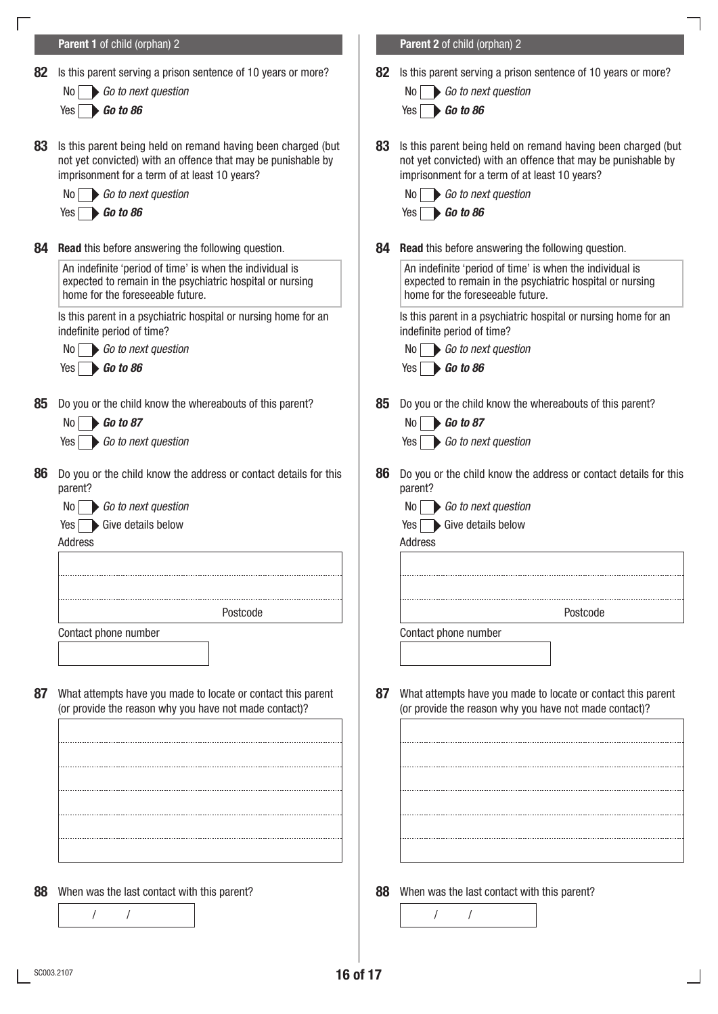<span id="page-19-1"></span><span id="page-19-0"></span>

| Parent 1 of child (orphan) 2                                                                                                                                                                                                             |                                | Parent 2 of child (orphan) 2                                                                                                                                                                                           |
|------------------------------------------------------------------------------------------------------------------------------------------------------------------------------------------------------------------------------------------|--------------------------------|------------------------------------------------------------------------------------------------------------------------------------------------------------------------------------------------------------------------|
| Is this parent serving a prison sentence of 10 years or more?<br>Go to next question<br>No I<br>$\bigtriangledown$ Go to 86<br>Yes                                                                                                       | 82                             | Is this parent serving a prison sentence of 10 years or more?<br>Go to next question<br>N0.<br>Go to 86<br>Yes                                                                                                         |
| Is this parent being held on remand having been charged (but<br>not yet convicted) with an offence that may be punishable by<br>imprisonment for a term of at least 10 years?<br>$\mathsf{No}$ $\blacktriangleright$ Go to next question | 83                             | Is this parent being held on remand having been charged (but<br>not yet convicted) with an offence that may be punishable by<br>imprisonment for a term of at least 10 years?<br>Go to next question<br>No I           |
|                                                                                                                                                                                                                                          |                                | $\bigtriangledown$ Go to 86<br>Yes                                                                                                                                                                                     |
| <b>Read</b> this before answering the following question.<br>An indefinite 'period of time' is when the individual is<br>expected to remain in the psychiatric hospital or nursing<br>home for the foreseeable future.                   | 84                             | <b>Read</b> this before answering the following question.<br>An indefinite 'period of time' is when the individual is<br>expected to remain in the psychiatric hospital or nursing<br>home for the foreseeable future. |
| Is this parent in a psychiatric hospital or nursing home for an<br>indefinite period of time?<br>$\mathsf{No}$ $\blacktriangleright$ Go to next question<br>$Yes \rightarrow Go \ to \ 86$                                               |                                | Is this parent in a psychiatric hospital or nursing home for an<br>indefinite period of time?<br>Go to next question<br>No.<br>$\bigtriangledown$ Go to 86<br>Yes                                                      |
| Do you or the child know the whereabouts of this parent?<br>$\triangleright$ Go to 87<br>No I<br>Go to next question<br>Yes                                                                                                              | 85                             | Do you or the child know the whereabouts of this parent?<br>$\bigtriangledown$ Go to 87<br>No.<br>Go to next question<br>Yes                                                                                           |
| Do you or the child know the address or contact details for this<br>parent?<br>Go to next question<br>No  <br>Give details below<br>Yes<br>Address                                                                                       | 86                             | Do you or the child know the address or contact details for this<br>parent?<br>Go to next question<br>No.<br>Give details below<br>Yes<br>Address                                                                      |
| Postcode                                                                                                                                                                                                                                 |                                | Postcode                                                                                                                                                                                                               |
| Contact phone number                                                                                                                                                                                                                     |                                | Contact phone number                                                                                                                                                                                                   |
| What attempts have you made to locate or contact this parent<br>(or provide the reason why you have not made contact)?                                                                                                                   | 87                             | What attempts have you made to locate or contact this parent<br>(or provide the reason why you have not made contact)?                                                                                                 |
|                                                                                                                                                                                                                                          |                                |                                                                                                                                                                                                                        |
| When was the last contact with this parent?                                                                                                                                                                                              | 88                             | When was the last contact with this parent?                                                                                                                                                                            |
|                                                                                                                                                                                                                                          | $Yes \rightarrow Go \ to \ 86$ |                                                                                                                                                                                                                        |